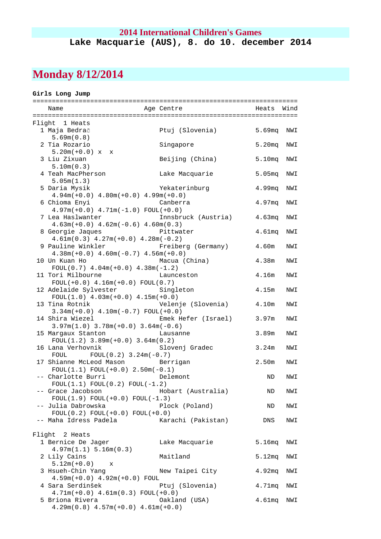### **2014 International Children's Games Lake Macquarie (AUS), 8. do 10. december 2014**

## **Monday 8/12/2014**

#### **Girls Long Jump**

| Wind<br>Name<br>Age Centre the control of the control of the control of the control of the control of the control of the control of the control of the control of the control of the control of the control of the control of the control of t<br>Heats<br>Flight 1 Heats<br>1 Maja Bedrač<br>Ptuj (Slovenia)<br>5.69mg<br>NWI<br>5.69m(0.8)<br>5.20 <sub>mq</sub><br>2 Tia Rozario<br>Singapore<br>NWI<br>$5.20m(+0.0) x x$<br>3 Liu Zixuan<br>Beijing (China)<br>5.10mg<br>NWI<br>5.10m(0.3)<br>4 Teah MacPherson<br>Lake Macquarie<br>5.05mg<br>NWI<br>5.05m(1.3)<br>5 Daria Mysik<br>4.99mq<br>Yekaterinburg<br>NWI<br>$4.94m(+0.0)$ $4.80m(+0.0)$ $4.99m(+0.0)$<br>6 Chioma Enyi<br>4.97 <sub>mq</sub><br>Canberra<br>NWI<br>$4.97m(+0.0)$ $4.71m(-1.0)$ FOUL $(+0.0)$<br>7 Lea Haslwanter<br>Innsbruck (Austria)<br>4.63 <sub>mq</sub><br>NWI<br>$4.63m(+0.0)$ $4.62m(-0.6)$ $4.60m(0.3)$<br>8 Georgie Jaques<br>Pittwater<br>4.61 <sub>mq</sub><br>NWI<br>$4.61m(0.3)$ $4.27m(+0.0)$ $4.28m(-0.2)$<br>9 Pauline Winkler<br>Freiberg (Germany)<br>4.60m<br>NWI<br>$4.38m(+0.0)$ $4.60m(-0.7)$ $4.56m(+0.0)$<br>4.38m<br>10 Un Kuan Ho<br>Macua (China)<br>NWI<br>$FOUL(0.7)$ 4.04m(+0.0) 4.38m(-1.2)<br>11 Tori Milbourne<br>4.16m<br>Launceston<br>NWI<br>$FOUL(+0.0) 4.16m(+0.0) FOUL(0.7)$<br>12 Adelaide Sylvester Singleton<br>4.15m<br>NWI<br>$FOUL(1.0) 4.03m(+0.0) 4.15m(+0.0)$<br>13 Tina Rotnik<br>Velenje (Slovenia)<br>4.10m<br>NWI<br>$3.34m(+0.0)$ 4.10m(-0.7) FOUL(+0.0)<br>Emek Hefer (Israel)<br>14 Shira Wiezel<br>3.97m<br>NWI<br>$3.97m(1.0)$ $3.78m(+0.0)$ $3.64m(-0.6)$<br>15 Margaux Stanton<br>3.89m<br>NWI<br>Lausanne<br>$FOUL(1.2)$ 3.89m(+0.0) 3.64m(0.2)<br>16 Lana Verhovnik<br>Slovenj Gradec<br>3.24m<br>NWI<br>$FOUL(0.2) 3.24m(-0.7)$<br>FOUL<br>17 Shianne McLeod Mason<br>2.50m<br>Berrigan<br>NWI<br>$FOUL(1.1) FOUL(+0.0) 2.50m(-0.1)$<br>-- Charlotte Burri<br>Delemont<br>ND<br>NWI<br>$FOUL(1.1) FOUL(0.2) FOUL(-1.2)$<br>Hobart (Australia)<br>-- Grace Jacobson<br>ND<br>NWI<br>$FOUL(1.9) FOUL(+0.0) FOUL(-1.3)$<br>Plock (Poland)<br>-- Julia Dabrowska<br>ND<br>NWI<br>$FOUL(0.2) FOUL(+0.0) FOUL(+0.0)$<br>-- Maha Idress Padela<br>Karachi (Pakistan)<br>DNS<br>NWI<br>Flight 2 Heats<br>Lake Macquarie<br>5.16mg<br>1 Bernice De Jager<br>NWI<br>4.97m(1.1) 5.16m(0.3)<br>2 Lily Cains<br>Maitland<br>5.12mg<br>NWI<br>$5.12m(+0.0)$ x<br>3 Hsueh-Chin Yang<br>New Taipei City<br>4.92mg<br>NWI<br>$4.59m(+0.0)$ $4.92m(+0.0)$ FOUL<br>4 Sara Serdinšek<br>Ptuj (Slovenia)<br>$4.71$ mq<br>NWI |  |  |  |
|-------------------------------------------------------------------------------------------------------------------------------------------------------------------------------------------------------------------------------------------------------------------------------------------------------------------------------------------------------------------------------------------------------------------------------------------------------------------------------------------------------------------------------------------------------------------------------------------------------------------------------------------------------------------------------------------------------------------------------------------------------------------------------------------------------------------------------------------------------------------------------------------------------------------------------------------------------------------------------------------------------------------------------------------------------------------------------------------------------------------------------------------------------------------------------------------------------------------------------------------------------------------------------------------------------------------------------------------------------------------------------------------------------------------------------------------------------------------------------------------------------------------------------------------------------------------------------------------------------------------------------------------------------------------------------------------------------------------------------------------------------------------------------------------------------------------------------------------------------------------------------------------------------------------------------------------------------------------------------------------------------------------------------------------------------------------------------------------------------------------------------------------------------------------------------------------------------------------------------------------------------------------------------------------------------------------------------------------------------------------------------------------------------------------------------------------------------------------------------------------------------------------------------------------------------|--|--|--|
|                                                                                                                                                                                                                                                                                                                                                                                                                                                                                                                                                                                                                                                                                                                                                                                                                                                                                                                                                                                                                                                                                                                                                                                                                                                                                                                                                                                                                                                                                                                                                                                                                                                                                                                                                                                                                                                                                                                                                                                                                                                                                                                                                                                                                                                                                                                                                                                                                                                                                                                                                       |  |  |  |
|                                                                                                                                                                                                                                                                                                                                                                                                                                                                                                                                                                                                                                                                                                                                                                                                                                                                                                                                                                                                                                                                                                                                                                                                                                                                                                                                                                                                                                                                                                                                                                                                                                                                                                                                                                                                                                                                                                                                                                                                                                                                                                                                                                                                                                                                                                                                                                                                                                                                                                                                                       |  |  |  |
|                                                                                                                                                                                                                                                                                                                                                                                                                                                                                                                                                                                                                                                                                                                                                                                                                                                                                                                                                                                                                                                                                                                                                                                                                                                                                                                                                                                                                                                                                                                                                                                                                                                                                                                                                                                                                                                                                                                                                                                                                                                                                                                                                                                                                                                                                                                                                                                                                                                                                                                                                       |  |  |  |
|                                                                                                                                                                                                                                                                                                                                                                                                                                                                                                                                                                                                                                                                                                                                                                                                                                                                                                                                                                                                                                                                                                                                                                                                                                                                                                                                                                                                                                                                                                                                                                                                                                                                                                                                                                                                                                                                                                                                                                                                                                                                                                                                                                                                                                                                                                                                                                                                                                                                                                                                                       |  |  |  |
|                                                                                                                                                                                                                                                                                                                                                                                                                                                                                                                                                                                                                                                                                                                                                                                                                                                                                                                                                                                                                                                                                                                                                                                                                                                                                                                                                                                                                                                                                                                                                                                                                                                                                                                                                                                                                                                                                                                                                                                                                                                                                                                                                                                                                                                                                                                                                                                                                                                                                                                                                       |  |  |  |
|                                                                                                                                                                                                                                                                                                                                                                                                                                                                                                                                                                                                                                                                                                                                                                                                                                                                                                                                                                                                                                                                                                                                                                                                                                                                                                                                                                                                                                                                                                                                                                                                                                                                                                                                                                                                                                                                                                                                                                                                                                                                                                                                                                                                                                                                                                                                                                                                                                                                                                                                                       |  |  |  |
|                                                                                                                                                                                                                                                                                                                                                                                                                                                                                                                                                                                                                                                                                                                                                                                                                                                                                                                                                                                                                                                                                                                                                                                                                                                                                                                                                                                                                                                                                                                                                                                                                                                                                                                                                                                                                                                                                                                                                                                                                                                                                                                                                                                                                                                                                                                                                                                                                                                                                                                                                       |  |  |  |
|                                                                                                                                                                                                                                                                                                                                                                                                                                                                                                                                                                                                                                                                                                                                                                                                                                                                                                                                                                                                                                                                                                                                                                                                                                                                                                                                                                                                                                                                                                                                                                                                                                                                                                                                                                                                                                                                                                                                                                                                                                                                                                                                                                                                                                                                                                                                                                                                                                                                                                                                                       |  |  |  |
|                                                                                                                                                                                                                                                                                                                                                                                                                                                                                                                                                                                                                                                                                                                                                                                                                                                                                                                                                                                                                                                                                                                                                                                                                                                                                                                                                                                                                                                                                                                                                                                                                                                                                                                                                                                                                                                                                                                                                                                                                                                                                                                                                                                                                                                                                                                                                                                                                                                                                                                                                       |  |  |  |
|                                                                                                                                                                                                                                                                                                                                                                                                                                                                                                                                                                                                                                                                                                                                                                                                                                                                                                                                                                                                                                                                                                                                                                                                                                                                                                                                                                                                                                                                                                                                                                                                                                                                                                                                                                                                                                                                                                                                                                                                                                                                                                                                                                                                                                                                                                                                                                                                                                                                                                                                                       |  |  |  |
|                                                                                                                                                                                                                                                                                                                                                                                                                                                                                                                                                                                                                                                                                                                                                                                                                                                                                                                                                                                                                                                                                                                                                                                                                                                                                                                                                                                                                                                                                                                                                                                                                                                                                                                                                                                                                                                                                                                                                                                                                                                                                                                                                                                                                                                                                                                                                                                                                                                                                                                                                       |  |  |  |
|                                                                                                                                                                                                                                                                                                                                                                                                                                                                                                                                                                                                                                                                                                                                                                                                                                                                                                                                                                                                                                                                                                                                                                                                                                                                                                                                                                                                                                                                                                                                                                                                                                                                                                                                                                                                                                                                                                                                                                                                                                                                                                                                                                                                                                                                                                                                                                                                                                                                                                                                                       |  |  |  |
|                                                                                                                                                                                                                                                                                                                                                                                                                                                                                                                                                                                                                                                                                                                                                                                                                                                                                                                                                                                                                                                                                                                                                                                                                                                                                                                                                                                                                                                                                                                                                                                                                                                                                                                                                                                                                                                                                                                                                                                                                                                                                                                                                                                                                                                                                                                                                                                                                                                                                                                                                       |  |  |  |
|                                                                                                                                                                                                                                                                                                                                                                                                                                                                                                                                                                                                                                                                                                                                                                                                                                                                                                                                                                                                                                                                                                                                                                                                                                                                                                                                                                                                                                                                                                                                                                                                                                                                                                                                                                                                                                                                                                                                                                                                                                                                                                                                                                                                                                                                                                                                                                                                                                                                                                                                                       |  |  |  |
|                                                                                                                                                                                                                                                                                                                                                                                                                                                                                                                                                                                                                                                                                                                                                                                                                                                                                                                                                                                                                                                                                                                                                                                                                                                                                                                                                                                                                                                                                                                                                                                                                                                                                                                                                                                                                                                                                                                                                                                                                                                                                                                                                                                                                                                                                                                                                                                                                                                                                                                                                       |  |  |  |
|                                                                                                                                                                                                                                                                                                                                                                                                                                                                                                                                                                                                                                                                                                                                                                                                                                                                                                                                                                                                                                                                                                                                                                                                                                                                                                                                                                                                                                                                                                                                                                                                                                                                                                                                                                                                                                                                                                                                                                                                                                                                                                                                                                                                                                                                                                                                                                                                                                                                                                                                                       |  |  |  |
|                                                                                                                                                                                                                                                                                                                                                                                                                                                                                                                                                                                                                                                                                                                                                                                                                                                                                                                                                                                                                                                                                                                                                                                                                                                                                                                                                                                                                                                                                                                                                                                                                                                                                                                                                                                                                                                                                                                                                                                                                                                                                                                                                                                                                                                                                                                                                                                                                                                                                                                                                       |  |  |  |
|                                                                                                                                                                                                                                                                                                                                                                                                                                                                                                                                                                                                                                                                                                                                                                                                                                                                                                                                                                                                                                                                                                                                                                                                                                                                                                                                                                                                                                                                                                                                                                                                                                                                                                                                                                                                                                                                                                                                                                                                                                                                                                                                                                                                                                                                                                                                                                                                                                                                                                                                                       |  |  |  |
|                                                                                                                                                                                                                                                                                                                                                                                                                                                                                                                                                                                                                                                                                                                                                                                                                                                                                                                                                                                                                                                                                                                                                                                                                                                                                                                                                                                                                                                                                                                                                                                                                                                                                                                                                                                                                                                                                                                                                                                                                                                                                                                                                                                                                                                                                                                                                                                                                                                                                                                                                       |  |  |  |
|                                                                                                                                                                                                                                                                                                                                                                                                                                                                                                                                                                                                                                                                                                                                                                                                                                                                                                                                                                                                                                                                                                                                                                                                                                                                                                                                                                                                                                                                                                                                                                                                                                                                                                                                                                                                                                                                                                                                                                                                                                                                                                                                                                                                                                                                                                                                                                                                                                                                                                                                                       |  |  |  |
|                                                                                                                                                                                                                                                                                                                                                                                                                                                                                                                                                                                                                                                                                                                                                                                                                                                                                                                                                                                                                                                                                                                                                                                                                                                                                                                                                                                                                                                                                                                                                                                                                                                                                                                                                                                                                                                                                                                                                                                                                                                                                                                                                                                                                                                                                                                                                                                                                                                                                                                                                       |  |  |  |
|                                                                                                                                                                                                                                                                                                                                                                                                                                                                                                                                                                                                                                                                                                                                                                                                                                                                                                                                                                                                                                                                                                                                                                                                                                                                                                                                                                                                                                                                                                                                                                                                                                                                                                                                                                                                                                                                                                                                                                                                                                                                                                                                                                                                                                                                                                                                                                                                                                                                                                                                                       |  |  |  |
|                                                                                                                                                                                                                                                                                                                                                                                                                                                                                                                                                                                                                                                                                                                                                                                                                                                                                                                                                                                                                                                                                                                                                                                                                                                                                                                                                                                                                                                                                                                                                                                                                                                                                                                                                                                                                                                                                                                                                                                                                                                                                                                                                                                                                                                                                                                                                                                                                                                                                                                                                       |  |  |  |
|                                                                                                                                                                                                                                                                                                                                                                                                                                                                                                                                                                                                                                                                                                                                                                                                                                                                                                                                                                                                                                                                                                                                                                                                                                                                                                                                                                                                                                                                                                                                                                                                                                                                                                                                                                                                                                                                                                                                                                                                                                                                                                                                                                                                                                                                                                                                                                                                                                                                                                                                                       |  |  |  |
|                                                                                                                                                                                                                                                                                                                                                                                                                                                                                                                                                                                                                                                                                                                                                                                                                                                                                                                                                                                                                                                                                                                                                                                                                                                                                                                                                                                                                                                                                                                                                                                                                                                                                                                                                                                                                                                                                                                                                                                                                                                                                                                                                                                                                                                                                                                                                                                                                                                                                                                                                       |  |  |  |
|                                                                                                                                                                                                                                                                                                                                                                                                                                                                                                                                                                                                                                                                                                                                                                                                                                                                                                                                                                                                                                                                                                                                                                                                                                                                                                                                                                                                                                                                                                                                                                                                                                                                                                                                                                                                                                                                                                                                                                                                                                                                                                                                                                                                                                                                                                                                                                                                                                                                                                                                                       |  |  |  |
|                                                                                                                                                                                                                                                                                                                                                                                                                                                                                                                                                                                                                                                                                                                                                                                                                                                                                                                                                                                                                                                                                                                                                                                                                                                                                                                                                                                                                                                                                                                                                                                                                                                                                                                                                                                                                                                                                                                                                                                                                                                                                                                                                                                                                                                                                                                                                                                                                                                                                                                                                       |  |  |  |
|                                                                                                                                                                                                                                                                                                                                                                                                                                                                                                                                                                                                                                                                                                                                                                                                                                                                                                                                                                                                                                                                                                                                                                                                                                                                                                                                                                                                                                                                                                                                                                                                                                                                                                                                                                                                                                                                                                                                                                                                                                                                                                                                                                                                                                                                                                                                                                                                                                                                                                                                                       |  |  |  |
|                                                                                                                                                                                                                                                                                                                                                                                                                                                                                                                                                                                                                                                                                                                                                                                                                                                                                                                                                                                                                                                                                                                                                                                                                                                                                                                                                                                                                                                                                                                                                                                                                                                                                                                                                                                                                                                                                                                                                                                                                                                                                                                                                                                                                                                                                                                                                                                                                                                                                                                                                       |  |  |  |
|                                                                                                                                                                                                                                                                                                                                                                                                                                                                                                                                                                                                                                                                                                                                                                                                                                                                                                                                                                                                                                                                                                                                                                                                                                                                                                                                                                                                                                                                                                                                                                                                                                                                                                                                                                                                                                                                                                                                                                                                                                                                                                                                                                                                                                                                                                                                                                                                                                                                                                                                                       |  |  |  |
|                                                                                                                                                                                                                                                                                                                                                                                                                                                                                                                                                                                                                                                                                                                                                                                                                                                                                                                                                                                                                                                                                                                                                                                                                                                                                                                                                                                                                                                                                                                                                                                                                                                                                                                                                                                                                                                                                                                                                                                                                                                                                                                                                                                                                                                                                                                                                                                                                                                                                                                                                       |  |  |  |
|                                                                                                                                                                                                                                                                                                                                                                                                                                                                                                                                                                                                                                                                                                                                                                                                                                                                                                                                                                                                                                                                                                                                                                                                                                                                                                                                                                                                                                                                                                                                                                                                                                                                                                                                                                                                                                                                                                                                                                                                                                                                                                                                                                                                                                                                                                                                                                                                                                                                                                                                                       |  |  |  |
|                                                                                                                                                                                                                                                                                                                                                                                                                                                                                                                                                                                                                                                                                                                                                                                                                                                                                                                                                                                                                                                                                                                                                                                                                                                                                                                                                                                                                                                                                                                                                                                                                                                                                                                                                                                                                                                                                                                                                                                                                                                                                                                                                                                                                                                                                                                                                                                                                                                                                                                                                       |  |  |  |
|                                                                                                                                                                                                                                                                                                                                                                                                                                                                                                                                                                                                                                                                                                                                                                                                                                                                                                                                                                                                                                                                                                                                                                                                                                                                                                                                                                                                                                                                                                                                                                                                                                                                                                                                                                                                                                                                                                                                                                                                                                                                                                                                                                                                                                                                                                                                                                                                                                                                                                                                                       |  |  |  |
|                                                                                                                                                                                                                                                                                                                                                                                                                                                                                                                                                                                                                                                                                                                                                                                                                                                                                                                                                                                                                                                                                                                                                                                                                                                                                                                                                                                                                                                                                                                                                                                                                                                                                                                                                                                                                                                                                                                                                                                                                                                                                                                                                                                                                                                                                                                                                                                                                                                                                                                                                       |  |  |  |
|                                                                                                                                                                                                                                                                                                                                                                                                                                                                                                                                                                                                                                                                                                                                                                                                                                                                                                                                                                                                                                                                                                                                                                                                                                                                                                                                                                                                                                                                                                                                                                                                                                                                                                                                                                                                                                                                                                                                                                                                                                                                                                                                                                                                                                                                                                                                                                                                                                                                                                                                                       |  |  |  |
|                                                                                                                                                                                                                                                                                                                                                                                                                                                                                                                                                                                                                                                                                                                                                                                                                                                                                                                                                                                                                                                                                                                                                                                                                                                                                                                                                                                                                                                                                                                                                                                                                                                                                                                                                                                                                                                                                                                                                                                                                                                                                                                                                                                                                                                                                                                                                                                                                                                                                                                                                       |  |  |  |
|                                                                                                                                                                                                                                                                                                                                                                                                                                                                                                                                                                                                                                                                                                                                                                                                                                                                                                                                                                                                                                                                                                                                                                                                                                                                                                                                                                                                                                                                                                                                                                                                                                                                                                                                                                                                                                                                                                                                                                                                                                                                                                                                                                                                                                                                                                                                                                                                                                                                                                                                                       |  |  |  |
|                                                                                                                                                                                                                                                                                                                                                                                                                                                                                                                                                                                                                                                                                                                                                                                                                                                                                                                                                                                                                                                                                                                                                                                                                                                                                                                                                                                                                                                                                                                                                                                                                                                                                                                                                                                                                                                                                                                                                                                                                                                                                                                                                                                                                                                                                                                                                                                                                                                                                                                                                       |  |  |  |
|                                                                                                                                                                                                                                                                                                                                                                                                                                                                                                                                                                                                                                                                                                                                                                                                                                                                                                                                                                                                                                                                                                                                                                                                                                                                                                                                                                                                                                                                                                                                                                                                                                                                                                                                                                                                                                                                                                                                                                                                                                                                                                                                                                                                                                                                                                                                                                                                                                                                                                                                                       |  |  |  |
|                                                                                                                                                                                                                                                                                                                                                                                                                                                                                                                                                                                                                                                                                                                                                                                                                                                                                                                                                                                                                                                                                                                                                                                                                                                                                                                                                                                                                                                                                                                                                                                                                                                                                                                                                                                                                                                                                                                                                                                                                                                                                                                                                                                                                                                                                                                                                                                                                                                                                                                                                       |  |  |  |
|                                                                                                                                                                                                                                                                                                                                                                                                                                                                                                                                                                                                                                                                                                                                                                                                                                                                                                                                                                                                                                                                                                                                                                                                                                                                                                                                                                                                                                                                                                                                                                                                                                                                                                                                                                                                                                                                                                                                                                                                                                                                                                                                                                                                                                                                                                                                                                                                                                                                                                                                                       |  |  |  |
|                                                                                                                                                                                                                                                                                                                                                                                                                                                                                                                                                                                                                                                                                                                                                                                                                                                                                                                                                                                                                                                                                                                                                                                                                                                                                                                                                                                                                                                                                                                                                                                                                                                                                                                                                                                                                                                                                                                                                                                                                                                                                                                                                                                                                                                                                                                                                                                                                                                                                                                                                       |  |  |  |
|                                                                                                                                                                                                                                                                                                                                                                                                                                                                                                                                                                                                                                                                                                                                                                                                                                                                                                                                                                                                                                                                                                                                                                                                                                                                                                                                                                                                                                                                                                                                                                                                                                                                                                                                                                                                                                                                                                                                                                                                                                                                                                                                                                                                                                                                                                                                                                                                                                                                                                                                                       |  |  |  |
|                                                                                                                                                                                                                                                                                                                                                                                                                                                                                                                                                                                                                                                                                                                                                                                                                                                                                                                                                                                                                                                                                                                                                                                                                                                                                                                                                                                                                                                                                                                                                                                                                                                                                                                                                                                                                                                                                                                                                                                                                                                                                                                                                                                                                                                                                                                                                                                                                                                                                                                                                       |  |  |  |
|                                                                                                                                                                                                                                                                                                                                                                                                                                                                                                                                                                                                                                                                                                                                                                                                                                                                                                                                                                                                                                                                                                                                                                                                                                                                                                                                                                                                                                                                                                                                                                                                                                                                                                                                                                                                                                                                                                                                                                                                                                                                                                                                                                                                                                                                                                                                                                                                                                                                                                                                                       |  |  |  |
|                                                                                                                                                                                                                                                                                                                                                                                                                                                                                                                                                                                                                                                                                                                                                                                                                                                                                                                                                                                                                                                                                                                                                                                                                                                                                                                                                                                                                                                                                                                                                                                                                                                                                                                                                                                                                                                                                                                                                                                                                                                                                                                                                                                                                                                                                                                                                                                                                                                                                                                                                       |  |  |  |
|                                                                                                                                                                                                                                                                                                                                                                                                                                                                                                                                                                                                                                                                                                                                                                                                                                                                                                                                                                                                                                                                                                                                                                                                                                                                                                                                                                                                                                                                                                                                                                                                                                                                                                                                                                                                                                                                                                                                                                                                                                                                                                                                                                                                                                                                                                                                                                                                                                                                                                                                                       |  |  |  |
| $4.71m(+0.0) 4.61m(0.3) F0UL(+0.0)$<br>5 Briona Rivera                                                                                                                                                                                                                                                                                                                                                                                                                                                                                                                                                                                                                                                                                                                                                                                                                                                                                                                                                                                                                                                                                                                                                                                                                                                                                                                                                                                                                                                                                                                                                                                                                                                                                                                                                                                                                                                                                                                                                                                                                                                                                                                                                                                                                                                                                                                                                                                                                                                                                                |  |  |  |
| Oakland (USA)<br>4.61mg<br>NWI<br>$4.29m(0.8)$ $4.57m(+0.0)$ $4.61m(+0.0)$                                                                                                                                                                                                                                                                                                                                                                                                                                                                                                                                                                                                                                                                                                                                                                                                                                                                                                                                                                                                                                                                                                                                                                                                                                                                                                                                                                                                                                                                                                                                                                                                                                                                                                                                                                                                                                                                                                                                                                                                                                                                                                                                                                                                                                                                                                                                                                                                                                                                            |  |  |  |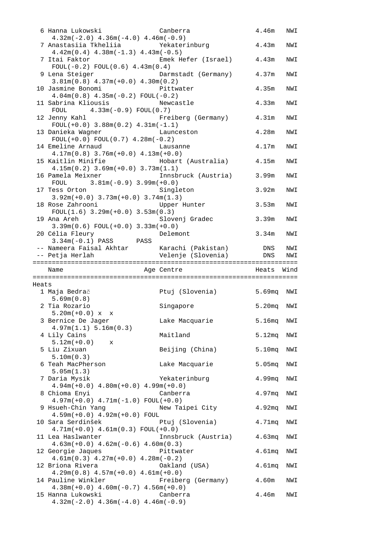|       | 6 Hanna Lukowski                                               | Canberra            | 4.46m              | NWI  |
|-------|----------------------------------------------------------------|---------------------|--------------------|------|
|       | $4.32m(-2.0)$ $4.36m(-4.0)$ $4.46m(-0.9)$                      |                     |                    |      |
|       | 7 Anastasiia Tkheliia (Kanada Yekaterinburg                    |                     | 4.43m              | NWI  |
|       | $4.42m(0.4)$ $4.38m(-1.3)$ $4.43m(-0.5)$                       |                     |                    |      |
|       | 7 Itai Faktor                                                  | Emek Hefer (Israel) | 4.43m              | NWI  |
|       | $FOUL(-0.2) FOUL(0.6) 4.43m(0.4)$                              |                     |                    |      |
|       | 9 Lena Steiger                                                 | Darmstadt (Germany) | 4.37m              | NWI  |
|       | $3.81m(0.8)$ 4.37 $m(+0.0)$ 4.30 $m(0.2)$                      |                     |                    |      |
|       | 10 Jasmine Bonomi                                              | Pittwater           | 4.35m              | NWI  |
|       | $4.04m(0.8)$ $4.35m(-0.2)$ FOUL(-0.2)                          |                     |                    |      |
|       | 11 Sabrina Kliousis                                            | Newcastle           | 4.33m              | NWI  |
|       | FOUL $4.33m(-0.9)$ FOUL(0.7)                                   |                     |                    |      |
|       | 12 Jenny Kahl                                                  | Freiberg (Germany)  | 4.31m              | NWI  |
|       | $FOUL(+0.0)$ 3.88m $(0.2)$ 4.31m $(-1.1)$                      |                     |                    |      |
|       | 13 Danieka Wagner<br>$FOUL(+0.0) FOUL(0.7) 4.28m(-0.2)$        | Launceston          | 4.28m              | NWI  |
|       | 14 Emeline Arnaud                                              | Lausanne            | 4.17m              | NWI  |
|       | $4.17m(0.8)$ 3.76 $m(+0.0)$ 4.13 $m(+0.0)$                     |                     |                    |      |
|       | 15 Kaitlin Minifie                                             | Hobart (Australia)  | 4.15m              | NWI  |
|       | $4.15m(0.2)$ $3.69m(+0.0)$ $3.73m(1.1)$                        |                     |                    |      |
|       | 16 Pamela Meixner                                              | Innsbruck (Austria) | 3.99m              | NWI  |
|       | FOUL $3.81m(-0.9) 3.99m(+0.0)$                                 |                     |                    |      |
|       | 17 Tess Orton                                                  | Singleton           | 3.92m              | NWI  |
|       | $3.92m(+0.0)$ $3.73m(+0.0)$ $3.74m(1.3)$                       |                     |                    |      |
|       | 18 Rose Zahrooni                                               | Upper Hunter        | 3.53m              | NWI  |
|       | $FOUL(1.6)$ 3.29m(+0.0) 3.53m(0.3)                             |                     |                    |      |
|       | 19 Ana Areh                                                    | Slovenj Gradec      | 3.39m              | NWI  |
|       | $3.39m(0.6) F0UL(+0.0) 3.33m(+0.0)$                            |                     |                    |      |
|       | 20 Célia Fleury                                                | Delemont            | 3.34m              | NWI  |
|       | $3.34m(-0.1)$ PASS PASS                                        |                     |                    |      |
|       |                                                                |                     |                    |      |
|       |                                                                |                     |                    |      |
|       |                                                                |                     |                    |      |
|       |                                                                |                     |                    |      |
|       | Name                                                           | Age Centre          | Heats              | Wind |
|       |                                                                |                     |                    |      |
| Heats |                                                                |                     |                    |      |
|       | 1 Maja Bedrač                                                  | Ptuj (Slovenia)     | 5.69mq NWI         |      |
|       | 5.69m(0.8)<br>2 Tia Rozario                                    |                     |                    |      |
|       |                                                                | Singapore           | 5.20mq NWI         |      |
|       | $5.20m(+0.0) x x$                                              |                     |                    | NWI  |
|       | 3 Bernice De Jager<br>4.97m(1.1) 5.16m(0.3)                    | Lake Macquarie      | 5.16mg             |      |
|       | 4 Lily Cains                                                   | Maitland            | 5.12mg             | NWI  |
|       | $5.12m(+0.0)$<br>X                                             |                     |                    |      |
|       | 5 Liu Zixuan                                                   | Beijing (China)     | 5.10mg             | NWI  |
|       | 5.10m(0.3)                                                     |                     |                    |      |
|       | 6 Teah MacPherson                                              | Lake Macquarie      | 5.05mg             | NWI  |
|       | 5.05m(1.3)                                                     |                     |                    |      |
|       | 7 Daria Mysik                                                  | Yekaterinburg       | 4.99 <sub>mq</sub> | NWI  |
|       | $4.94m(+0.0)$ $4.80m(+0.0)$ $4.99m(+0.0)$                      |                     |                    |      |
|       | 8 Chioma Enyi                                                  | Canberra            | 4.97 <sub>mq</sub> | NWI  |
|       | $4.97m(+0.0)$ $4.71m(-1.0)$ FOUL $(+0.0)$                      |                     |                    |      |
|       | 9 Hsueh-Chin Yang                                              | New Taipei City     | 4.92 <sub>mq</sub> | NWI  |
|       | $4.59m(+0.0) 4.92m(+0.0)$ FOUL                                 |                     |                    |      |
|       | 10 Sara Serdinšek                                              | Ptuj (Slovenia)     | $4.71$ mq          | NWI  |
|       | $4.71m(+0.0) 4.61m(0.3) FOUL(+0.0)$                            |                     |                    |      |
|       | 11 Lea Haslwanter                                              | Innsbruck (Austria) | 4.63mg             | NWI  |
|       | $4.63m(+0.0)$ $4.62m(-0.6)$ $4.60m(0.3)$<br>12 Georgie Jaques  | Pittwater           | 4.61mg             | NWI  |
|       | $4.61m(0.3)$ $4.27m(+0.0)$ $4.28m(-0.2)$                       |                     |                    |      |
|       | 12 Briona Rivera                                               | Oakland (USA)       | 4.61mq             | NWI  |
|       | $4.29m(0.8)$ $4.57m(+0.0)$ $4.61m(+0.0)$                       |                     |                    |      |
|       | 14 Pauline Winkler                                             | Freiberg (Germany)  | 4.60m              | NWI  |
|       | $4.38m(+0.0)$ $4.60m(-0.7)$ $4.56m(+0.0)$                      |                     |                    |      |
|       | 15 Hanna Lukowski<br>$4.32m(-2.0)$ $4.36m(-4.0)$ $4.46m(-0.9)$ | Canberra            | 4.46m              | NWI  |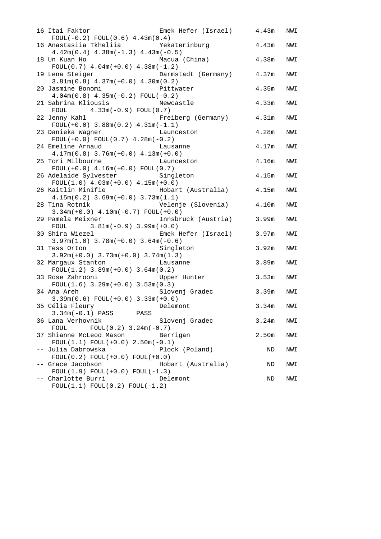| Emek Hefer (Israel) 4.43m<br>16 Itai Faktor<br>$FOUL(-0.2) FOUL(0.6) 4.43m(0.4)$      |                   | NWI |
|---------------------------------------------------------------------------------------|-------------------|-----|
| 16 Anastasiia Tkheliia<br>Yekaterinburg<br>$4.42m(0.4)$ $4.38m(-1.3)$ $4.43m(-0.5)$   | 4.43m             | NWI |
| 18 Un Kuan Ho<br>Macua (China)<br>FOUL $(0.7)$ 4.04m $(+0.0)$ 4.38m $(-1.2)$          | 4.38m             | NWI |
| 19 Lena Steiger<br>Darmstadt (Germany)<br>$3.81m(0.8)$ 4.37m(+0.0) 4.30m(0.2)         | 4.37m             | NWI |
| 20 Jasmine Bonomi<br>Pittwater<br>$4.04m(0.8)$ $4.35m(-0.2)$ FOUL(-0.2)               | 4.35m             | NWI |
| 21 Sabrina Kliousis<br>Newcastle<br>FOUL $4.33m(-0.9)$ FOUL(0.7)                      | 4.33m             | NWI |
| 22 Jenny Kahl Manuel (Germany)<br>$FOUL(+0.0)$ 3.88m(0.2) 4.31m(-1.1)                 | 4.31m             | NWI |
| 23 Danieka Wagner<br>Launceston<br>$FOUL(+0.0) FOUL(0.7) 4.28m(-0.2)$                 | 4.28m             | NWI |
| 24 Emeline Arnaud<br>Lausanne<br>$4.17m(0.8)$ 3.76 $m(+0.0)$ 4.13 $m(+0.0)$           | 4.17m             | NWI |
| 25 Tori Milbourne<br>Launceston<br>$FOUL(+0.0) 4.16m(+0.0) FOUL(0.7)$                 | 4.16m             | NWI |
| 26 Adelaide Sylvester<br>Singleton<br>$FOUL(1.0) 4.03m(+0.0) 4.15m(+0.0)$             | 4.15m             | NWI |
| 26 Kaitlin Minifie (Australia)<br>$4.15m(0.2)$ 3.69m(+0.0) 3.73m(1.1)                 | 4.15m             | NWI |
| Velenje (Slovenia) 4.10m<br>28 Tina Rotnik<br>$3.34m(+0.0)$ 4.10m(-0.7) FOUL(+0.0)    |                   | NWI |
| 29 Pamela Meixner<br>Innsbruck (Austria)<br>FOUL $3.81m(-0.9) 3.99m(+0.0)$            | 3.99m             | NWI |
| 30 Shira Wiezel<br>Emek Hefer (Israel)<br>$3.97m(1.0)$ $3.78m(+0.0)$ $3.64m(-0.6)$    | 3.97m             | NWI |
| 31 Tess Orton<br>Singleton<br>$3.92m(+0.0)$ $3.73m(+0.0)$ $3.74m(1.3)$                | 3.92m             | NWI |
| 32 Margaux Stanton<br><b>Example 1</b> Lausanne<br>$FOUL(1.2)$ 3.89m(+0.0) 3.64m(0.2) | 3.89 <sub>m</sub> | NWI |
| Upper Hunter<br>33 Rose Zahrooni<br>$FOUL(1.6)$ 3.29m(+0.0) 3.53m(0.3)                | 3.53m             | NWI |
| Slovenj Gradec<br>34 Ana Areh<br>$3.39m(0.6) F0UL(+0.0) 3.33m(+0.0)$                  | 3.39m             | NWI |
| 35 Célia Fleury Delemont<br>$3.34m(-0.1)$ PASS PASS                                   | 3.34m             | NWI |
| 36 Lana Verhovnik<br>Slovenj Gradec<br>FOUL<br>$FOUL(0.2) 3.24m(-0.7)$                | 3.24m             | NWI |
| 37 Shianne McLeod Mason<br>Berrigan<br>$FOUL(1.1) FOUL(+0.0) 2.50m(-0.1)$             | 2.50m             | NWI |
| -- Julia Dabrowska<br>Plock (Poland)<br>$FOUL(0.2) FOUL(+0.0) FOUL(+0.0)$             | ND                | NWI |
| -- Grace Jacobson<br>Hobart (Australia)<br>$FOUL(1.9) FOUL(+0.0) FOUL(-1.3)$          | ND                | NWI |
| -- Charlotte Burri<br>Delemont<br>$FOUL(1.1) FOUL(0.2) FOUL(-1.2)$                    | ND                | NWI |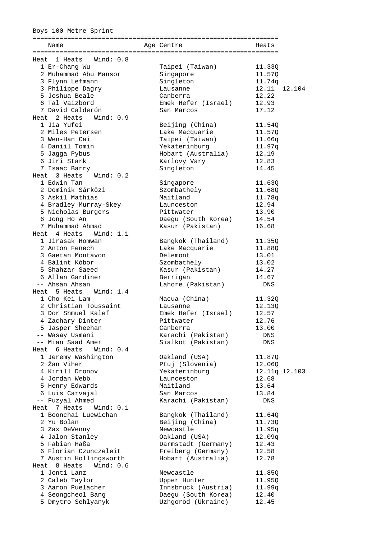#### Boys 100 Metre Sprint

| Name                      | Age Centre                       | Heats         |        |
|---------------------------|----------------------------------|---------------|--------|
|                           |                                  |               |        |
| Wind: 0.8<br>Heat 1 Heats |                                  |               |        |
| 1 Er-Chang Wu             | Taipei (Taiwan)                  | 11.330        |        |
| 2 Muhammad Abu Mansor     | Singapore                        | 11.570        |        |
| 3 Flynn Lefmann           | Singleton                        | 11.74q        |        |
| 3 Philippe Dagry          | Lausanne                         | 12.11         | 12.104 |
| 5 Joshua Beale            | Canberra                         | 12.22         |        |
| 6 Tal Vaizbord            | Emek Hefer (Israel)              | 12.93         |        |
| 7 David Calderón          | San Marcos                       | 17.12         |        |
| Heat 2 Heats Wind: 0.9    |                                  |               |        |
| 1 Jia Yufei               | Beijing (China)                  | 11.54Q        |        |
| 2 Miles Petersen          | Lake Macquarie                   | 11.57Q        |        |
| 3 Wen-Han Cai             | Taipei (Taiwan)                  | 11.66q        |        |
| 4 Daniil Tomin            | Yekaterinburg                    | 11.97q        |        |
| 5 Jagga Pybus             | Hobart (Australia)               | 12.19         |        |
| 6 Jiri Stark              | Karlovy Vary                     | 12.83         |        |
| 7 Isaac Barry             | Singleton                        | 14.45         |        |
| Heat 3 Heats Wind: 0.2    |                                  |               |        |
| 1 Edwin Tan               | Singapore                        | 11.63Q        |        |
| 2 Dominik Sárközi         | Szombathely                      | 11.68Q        |        |
| 3 Askil Mathias           | Maitland                         | 11.78q        |        |
| 4 Bradley Murray-Skey     | Launceston                       | 12.94         |        |
| 5 Nicholas Burgers        | Pittwater                        | 13.90         |        |
| 6 Jong Ho An              | Daegu (South Korea)              | 14.54         |        |
| 7 Muhammad Ahmad          | Kasur (Pakistan)                 | 16.68         |        |
| Heat 4 Heats Wind: 1.1    |                                  |               |        |
| 1 Jirasak Homwan          | Bangkok (Thailand)               | 11.35Q        |        |
| 2 Anton Fenech            | Lake Macquarie                   | 11.88Q        |        |
| 3 Gaetan Montavon         | Delemont                         | 13.01         |        |
| 4 Bálint Kóbor            | Szombathely                      | 13.02         |        |
| 5 Shahzar Saeed           | Kasur (Pakistan)                 | 14.27         |        |
| 6 Allan Gardiner          | Berrigan                         | 14.67         |        |
| -- Ahsan Ahsan            | Lahore (Pakistan)                | DNS           |        |
| Heat 5 Heats<br>Wind: 1.4 |                                  |               |        |
| 1 Cho Kei Lam             | Macua (China)                    | 11.32Q        |        |
| 2 Christian Toussaint     | Lausanne                         | 12.13Q        |        |
| 3 Dor Shmuel Kalef        | Emek Hefer (Israel)              | 12.57         |        |
| 4 Zachary Dinter          | Pittwater                        | 12.76         |        |
| 5 Jasper Sheehan          | Canberra                         | 13.00         |        |
| -- Wasay Usmani           | Karachi (Pakistan)               | DNS           |        |
| -- Mian Saad Amer         | Sialkot (Pakistan)               | DNS           |        |
| Heat 6 Heats Wind: 0.4    |                                  |               |        |
| 1 Jeremy Washington       | Oakland (USA)                    | 11.87Q        |        |
| 2 Žan Viher               | Ptuj (Slovenia)                  | 12.06Q        |        |
| 4 Kirill Dronov           | Yekaterinburg                    | 12.11q 12.103 |        |
| 4 Jordan Webb             | Launceston                       | 12.68         |        |
| 5 Henry Edwards           | Maitland                         | 13.64         |        |
| 6 Luis Carvajal           |                                  |               |        |
|                           | San Marcos<br>Karachi (Pakistan) | 13.84         |        |
| -- Fuzyal Ahmed           |                                  | DNS           |        |
| Heat 7 Heats<br>Wind: 0.1 |                                  |               |        |
| 1 Boonchai Luewichan      | Bangkok (Thailand)               | 11.64Q        |        |
| 2 Yu Bolan                | Beijing (China)                  | 11.73Q        |        |
| 3 Zax DeVenny             | Newcastle                        | 11.95q        |        |
| 4 Jalon Stanley           | Oakland (USA)                    | 12.09q        |        |
| 5 Fabian Haßa             | Darmstadt (Germany)              | 12.43         |        |
| 6 Florian Czunczeleit     | Freiberg (Germany)               | 12.58         |        |
| 7 Austin Hollingsworth    | Hobart (Australia)               | 12.78         |        |
| Heat 8 Heats<br>Wind: 0.6 |                                  |               |        |
| 1 Jonti Lanz              | Newcastle                        | 11.85Q        |        |
| 2 Caleb Taylor            | Upper Hunter                     | 11.95Q        |        |
| 3 Aaron Puelacher         | Innsbruck (Austria)              | 11.99q        |        |
| 4 Seongcheol Bang         | Daegu (South Korea)              | 12.40         |        |
| 5 Dmytro Sehlyanyk        | Uzhgorod (Ukraine)               | 12.45         |        |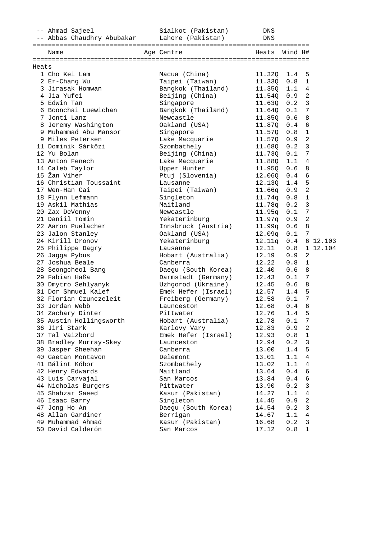|       | -- Ahmad Sajeel                              | Sialkot (Pakistan)  | DNS        |         |                         |          |
|-------|----------------------------------------------|---------------------|------------|---------|-------------------------|----------|
|       | -- Abbas Chaudhry Abubakar Lahore (Pakistan) |                     | <b>DNS</b> |         |                         |          |
|       |                                              |                     |            |         |                         |          |
|       | Name                                         | Age Centre          | Heats      | Wind H# |                         |          |
| Heats |                                              |                     |            |         |                         |          |
|       | 1 Cho Kei Lam                                | Macua (China)       | 11.32Q     | 1.4     | 5                       |          |
|       | 2 Er-Chang Wu                                | Taipei (Taiwan)     | 11.33Q     | 0.8     | $\mathbf{1}$            |          |
|       | 3 Jirasak Homwan                             | Bangkok (Thailand)  | 11.35Q     | 1.1     | $\overline{4}$          |          |
|       | 4 Jia Yufei                                  | Beijing (China)     | 11.54Q     | 0.9     | $\overline{a}$          |          |
|       | 5 Edwin Tan                                  | Singapore           | 11.63Q     | 0.2     | $\overline{\mathbf{3}}$ |          |
|       | 6 Boonchai Luewichan                         | Bangkok (Thailand)  | 11.640     | 0.1     | $\overline{7}$          |          |
|       | 7 Jonti Lanz                                 | Newcastle           | 11.85Q     | 0.6     | 8                       |          |
|       | 8 Jeremy Washington                          | Oakland (USA)       | 11.87Q     | 0.4     | $\epsilon$              |          |
|       | 9 Muhammad Abu Mansor                        | Singapore           | 11.57Q     | 0.8     | $\mathbf 1$             |          |
|       | 9 Miles Petersen                             | Lake Macquarie      | 11.57Q     | 0.9     | $\overline{c}$          |          |
|       | 11 Dominik Sárközi                           | Szombathely         | 11.68Q     | 0.2     | $\mathbf{3}$            |          |
|       | 12 Yu Bolan                                  | Beijing (China)     | 11.73Q     | 0.1     | 7                       |          |
|       | 13 Anton Fenech                              | Lake Macquarie      | 11.88Q     | 1.1     | 4                       |          |
|       | 14 Caleb Taylor                              | Upper Hunter        | 11.95Q     | 0.6     | 8                       |          |
|       | 15 Žan Viher                                 | Ptuj (Slovenia)     | 12.06Q     | 0.4     | 6                       |          |
|       | 16 Christian Toussaint                       | Lausanne            | 12.13Q     | 1.4     | 5                       |          |
|       | 17 Wen-Han Cai                               | Taipei (Taiwan)     | 11.66q     | 0.9     | $\overline{2}$          |          |
|       | 18 Flynn Lefmann                             | Singleton           | 11.74q     | 0.8     | $\mathbf{1}$            |          |
|       | 19 Askil Mathias                             | Maitland            | 11.78q     | 0.2     | $\overline{3}$          |          |
|       | 20 Zax DeVenny                               | Newcastle           | 11.95q     | 0.1     | 7                       |          |
|       | 21 Daniil Tomin                              | Yekaterinburg       | 11.97q     | 0.9     | $\overline{2}$          |          |
|       | 22 Aaron Puelacher                           | Innsbruck (Austria) | 11.99q     | 0.6     | 8                       |          |
|       | 23 Jalon Stanley                             | Oakland (USA)       | 12.09q     | 0.1     | 7                       |          |
|       | 24 Kirill Dronov                             | Yekaterinburg       | 12.11q     | 0.4     |                         | 6 12.103 |
|       | 25 Philippe Dagry                            | Lausanne            | 12.11      | 0.8     |                         | 1 12.104 |
|       | 26 Jagga Pybus                               | Hobart (Australia)  | 12.19      | 0.9     | 2                       |          |
|       | 27 Joshua Beale                              | Canberra            | 12.22      | 0.8     | $\mathbf{1}$            |          |
|       | 28 Seongcheol Bang                           | Daegu (South Korea) | 12.40      | 0.6     | 8                       |          |
|       | 29 Fabian Haßa                               | Darmstadt (Germany) | 12.43      | 0.1     | 7                       |          |
|       | 30 Dmytro Sehlyanyk                          | Uzhgorod (Ukraine)  | 12.45      | 0.6     | 8                       |          |
|       | 31 Dor Shmuel Kalef                          | Emek Hefer (Israel) | 12.57      | 1.4     | 5                       |          |
|       | 32 Florian Czunczeleit                       | Freiberg (Germany)  | 12.58      | 0.1     | 7                       |          |
|       | 33 Jordan Webb                               | Launceston          | 12.68      | 0.4     | 6                       |          |
|       | 34 Zachary Dinter                            | Pittwater           | 12.76      | 1.4     | 5                       |          |
|       | 35 Austin Hollingsworth                      | Hobart (Australia)  | 12.78      | 0.1     | 7                       |          |
|       | 36 Jiri Stark                                | Karlovy Vary        | 12.83      | 0.9     | 2                       |          |
|       | 37 Tal Vaizbord                              | Emek Hefer (Israel) | 12.93      | 0.8     | $\mathbf{1}$            |          |
|       | 38 Bradley Murray-Skey                       | Launceston          | 12.94      | 0.2     | $\mathfrak{Z}$          |          |
|       | 39 Jasper Sheehan                            | Canberra            | 13.00      | 1.4     | 5                       |          |
|       | 40 Gaetan Montavon                           | Delemont            | 13.01      | 1.1     | 4                       |          |
|       | 41 Bálint Kóbor                              | Szombathely         | 13.02      | 1.1     | 4                       |          |
|       | 42 Henry Edwards                             | Maitland            | 13.64      | 0.4     | 6                       |          |
|       | 43 Luis Carvajal                             | San Marcos          | 13.84      | 0.4     | 6                       |          |
|       | 44 Nicholas Burgers                          | Pittwater           | 13.90      | 0.2     | 3                       |          |
|       | 45 Shahzar Saeed                             | Kasur (Pakistan)    | 14.27      | 1.1     | $\overline{4}$          |          |
|       | 46 Isaac Barry                               | Singleton           | 14.45      | 0.9     | $\overline{c}$          |          |
|       | 47 Jong Ho An                                | Daegu (South Korea) | 14.54      | 0.2     | $\mathbf{3}$            |          |
|       | 48 Allan Gardiner                            | Berrigan            | 14.67      | 1.1     | 4                       |          |
|       | 49 Muhammad Ahmad                            | Kasur (Pakistan)    | 16.68      | 0.2     | $\mathbf{3}$            |          |
|       | 50 David Calderón                            | San Marcos          | 17.12      | 0.8     | $\mathbf{1}$            |          |
|       |                                              |                     |            |         |                         |          |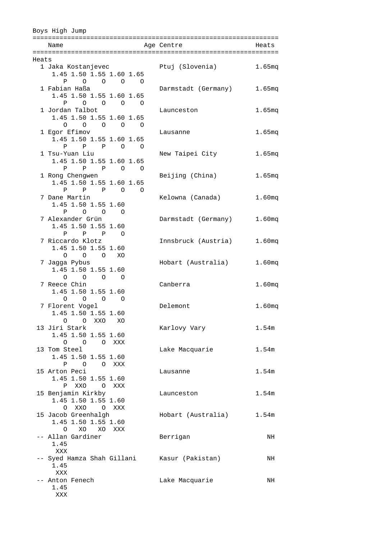|       | Boys High Jump                                                   |                     |                    |
|-------|------------------------------------------------------------------|---------------------|--------------------|
|       | Name                                                             | Age Centre          | Heats              |
|       |                                                                  |                     |                    |
| Heats |                                                                  |                     |                    |
|       | 1 Jaka Kostanjevec<br>1.45 1.50 1.55 1.60 1.65                   | Ptuj (Slovenia)     | 1.65 <sub>mq</sub> |
|       | $\Omega$<br>$\mathbf{P}$                                         |                     |                    |
|       | 1 Fabian Haßa                                                    | Darmstadt (Germany) | 1.65mg             |
|       | 1.45 1.50 1.55 1.60 1.65                                         |                     |                    |
|       | $\overline{O}$ $\overline{O}$<br>P<br>$\overline{O}$<br>$\Omega$ |                     |                    |
|       | 1 Jordan Talbot                                                  | Launceston          | 1.65 <sub>mq</sub> |
|       | 1.45 1.50 1.55 1.60 1.65                                         |                     |                    |
|       | $\begin{matrix} 0 & 0 & 0 & 0 & 0 \end{matrix}$                  |                     |                    |
|       | 1 Egor Efimov                                                    | Lausanne            | 1.65 <sub>mq</sub> |
|       | 1.45 1.50 1.55 1.60 1.65                                         |                     |                    |
|       | P P P O O                                                        |                     |                    |
|       | 1 Tsu-Yuan Liu<br>1.45 1.50 1.55 1.60 1.65                       | New Taipei City     | 1.65 <sub>mq</sub> |
|       | $P$ $P$ $P$ 0 0                                                  |                     |                    |
|       | 1 Rong Chengwen                                                  | Beijing (China)     | 1.65 <sub>mq</sub> |
|       | 1.45 1.50 1.55 1.60 1.65                                         |                     |                    |
|       | $P$ $P$ $P$ $O$ $O$                                              |                     |                    |
|       | 7 Dane Martin                                                    | Kelowna (Canada)    | 1.60 <sub>mq</sub> |
|       | 1.45 1.50 1.55 1.60                                              |                     |                    |
|       | $\begin{array}{cccccccc}\n0 & 0 & 0\n\end{array}$<br>Ρ           |                     |                    |
|       | 7 Alexander Grün                                                 | Darmstadt (Germany) | 1.60 <sub>mq</sub> |
|       | 1.45 1.50 1.55 1.60                                              |                     |                    |
|       | P P P<br>$\circ$ 0<br>7 Riccardo Klotz                           | Innsbruck (Austria) | 1.60 <sub>mq</sub> |
|       | 1.45 1.50 1.55 1.60                                              |                     |                    |
|       | $O$ $O$ $O$ $XO$                                                 |                     |                    |
|       | 7 Jagga Pybus                                                    | Hobart (Australia)  | 1.60 <sub>mq</sub> |
|       | 1.45 1.50 1.55 1.60                                              |                     |                    |
|       | $\Omega$ $\Omega$<br>$\circ$ 0                                   |                     |                    |
|       | 7 Reece Chin                                                     | Canberra            | 1.60 <sub>mq</sub> |
|       | 1.45 1.50 1.55 1.60                                              |                     |                    |
|       | $\circ$<br>$\overline{O}$<br>$\circ$ 0                           |                     |                    |
|       | 7 Florent Vogel                                                  | Delemont            | 1.60 <sub>mq</sub> |
|       | 1.45 1.50 1.55 1.60<br>O O XXO<br>XO                             |                     |                    |
|       | 13 Jiri Stark                                                    | Karlovy Vary        | 1.54m              |
|       | 1.45 1.50 1.55 1.60                                              |                     |                    |
|       | O O O XXX                                                        |                     |                    |
|       | 13 Tom Steel                                                     | Lake Macquarie      | 1.54m              |
|       | 1.45 1.50 1.55 1.60                                              |                     |                    |
|       | P O O XXX                                                        |                     |                    |
|       | 15 Arton Peci                                                    | Lausanne            | 1.54m              |
|       | 1.45 1.50 1.55 1.60                                              |                     |                    |
|       | XXO O XXX<br>Ρ                                                   |                     |                    |
|       | 15 Benjamin Kirkby<br>1.45 1.50 1.55 1.60                        | Launceston          | 1.54m              |
|       | XXO<br>$\Omega$<br>O XXX                                         |                     |                    |
|       | 15 Jacob Greenhalgh                                              | Hobart (Australia)  | 1.54m              |
|       | 1.45 1.50 1.55 1.60                                              |                     |                    |
|       | XO XO XXX<br>$\circ$                                             |                     |                    |
|       | -- Allan Gardiner                                                | Berrigan            | NH                 |
|       | 1.45                                                             |                     |                    |
|       | XXX                                                              |                     |                    |
|       | -- Syed Hamza Shah Gillani                                       | Kasur (Pakistan)    | NH                 |
|       | 1.45                                                             |                     |                    |
|       | XXX                                                              |                     |                    |
|       | -- Anton Fenech<br>1.45                                          | Lake Macquarie      | NH                 |
|       | XXX                                                              |                     |                    |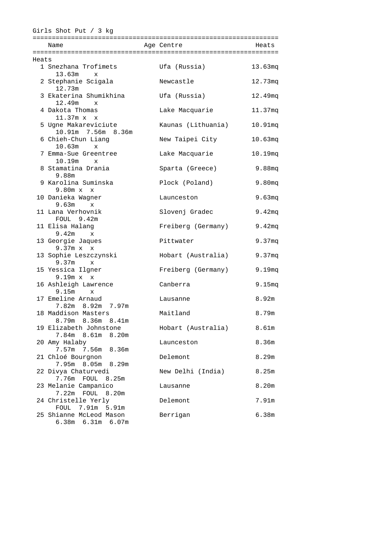|       | Girls Shot Put / 3 $kg$                          |                    |                    |
|-------|--------------------------------------------------|--------------------|--------------------|
|       |                                                  |                    |                    |
|       | Name                                             | Age Centre         | Heats              |
|       |                                                  |                    |                    |
| Heats |                                                  |                    |                    |
|       | 1 Snezhana Trofimets<br>13.63m<br>$\mathbf x$    | Ufa (Russia)       | 13.63mg            |
|       | 2 Stephanie Scigala<br>12.73m                    | Newcastle          | 12.73mg            |
|       | 3 Ekaterina Shumikhina<br>12.49m<br>$\mathbf{x}$ | Ufa (Russia)       | 12.49mq            |
|       | 4 Dakota Thomas<br>$11.37m \times x$             | Lake Macquarie     | 11.37mg            |
|       | 5 Ugne Makareviciute<br>10.91m 7.56m 8.36m       | Kaunas (Lithuania) | $10.91$ mq         |
|       | 6 Chieh-Chun Liang                               | New Taipei City    | 10.63mg            |
|       | 10.63m<br>$\mathbf{x}$<br>7 Emma-Sue Greentree   | Lake Macquarie     | 10.19mg            |
|       | 10.19m<br>$\mathbf{x}$<br>8 Stamatina Drania     | Sparta (Greece)    | 9.88mg             |
|       | 9.88m<br>9 Karolina Suminska                     | Plock (Poland)     | 9.80 <sub>mq</sub> |
|       | 9.80m x x<br>10 Danieka Wagner                   | Launceston         | 9.63 <sub>mq</sub> |
|       | 9.63m<br>$\mathbf x$<br>11 Lana Verhovnik        | Slovenj Gradec     | 9.42mg             |
|       | FOUL 9.42m<br>11 Elisa Halang                    | Freiberg (Germany) | 9.42mg             |
|       | 9.42m<br>$\mathbf{x}$<br>13 Georgie Jaques       | Pittwater          | 9.37mg             |
|       | $9.37m \times x$                                 |                    |                    |
|       | 13 Sophie Leszczynski<br>9.37m<br>$\mathbf{x}$   | Hobart (Australia) | 9.37mg             |
|       | 15 Yessica Ilgner<br>9.19m x x                   | Freiberg (Germany) | 9.19mg             |
|       | 16 Ashleigh Lawrence<br>$9.15m \times$           | Canberra           | 9.15mg             |
|       | 17 Emeline Arnaud<br>7.82m 8.92m 7.97m           | Lausanne           | 8.92m              |
|       | 18 Maddison Masters<br>8.79m 8.36m 8.41m         | Maitland           | 8.79m              |
|       | 19 Elizabeth Johnstone<br>8.20m<br>7.84m 8.61m   | Hobart (Australia) | 8.61 <sub>m</sub>  |
|       | 20 Amy Halaby                                    | Launceston         | 8.36m              |
|       | 7.57m 7.56m 8.36m<br>21 Chloé Bourgnon           | Delemont           | 8.29m              |
|       | 7.95m 8.05m 8.29m<br>22 Divya Chaturvedi         | New Delhi (India)  | 8.25m              |
|       | 7.76m FOUL<br>8.25m<br>23 Melanie Campanico      | Lausanne           | 8.20m              |
|       | 7.22m FOUL<br>8.20m<br>24 Christelle Yerly       | Delemont           | 7.91m              |
|       | FOUL 7.91m 5.91m<br>25 Shianne McLeod Mason      | Berrigan           | 6.38m              |
|       | 6.38m 6.31m 6.07m                                |                    |                    |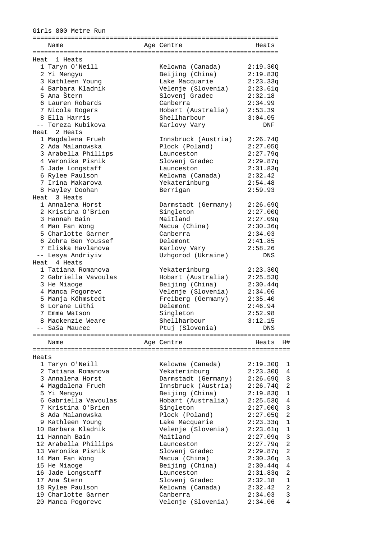#### Girls 800 Metre Run

|       | Name                                  | Age Centre                   | Heats                      |
|-------|---------------------------------------|------------------------------|----------------------------|
|       |                                       |                              |                            |
|       | Heat 1 Heats                          |                              |                            |
|       | 1 Taryn O'Neill                       | Kelowna (Canada)             | 2:19.30Q                   |
|       | 2 Yi Mengyu                           | Beijing (China)              | 2:19.830                   |
|       | 3 Kathleen Young                      | Lake Macquarie               | 2:23.33q                   |
|       | 4 Barbara Kladnik                     | Velenje (Slovenia)           | 2:23.61q                   |
|       | 5 Ana Štern                           | Slovenj Gradec               | 2:32.18                    |
|       | 6 Lauren Robards                      | Canberra                     | 2:34.99                    |
|       | 7 Nicola Rogers                       | Hobart (Australia)           | 2:53.39                    |
|       | 8 Ella Harris                         | Shellharbour                 | 3:04.05                    |
|       | -- Tereza Kubikova                    | Karlovy Vary                 | <b>DNF</b>                 |
|       | Heat 2 Heats                          |                              |                            |
|       | 1 Magdalena Frueh                     | Innsbruck (Austria)          | 2:26.740                   |
|       | 2 Ada Malanowska                      | Plock (Poland)               | 2:27.05Q<br>2:27.79q       |
|       | 3 Arabella Phillips                   | Launceston                   |                            |
|       | 4 Veronika Pisnik<br>5 Jade Longstaff | Slovenj Gradec<br>Launceston | 2:29.87q                   |
|       | 6 Rylee Paulson                       | Kelowna (Canada)             | 2:31.83q<br>2:32.42        |
|       | 7 Irina Makarova                      | Yekaterinburg                | 2:54.48                    |
|       | 8 Hayley Doohan                       | Berrigan                     | 2:59.93                    |
|       | Heat 3 Heats                          |                              |                            |
|       | 1 Annalena Horst                      | Darmstadt (Germany)          | 2:26.690                   |
|       | 2 Kristina O'Brien                    | Singleton                    | 2:27.00Q                   |
|       | 3 Hannah Bain                         | Maitland                     | 2:27.09q                   |
|       | 4 Man Fan Wong                        | Macua (China)                | 2:30.36q                   |
|       | 5 Charlotte Garner                    | Canberra                     | 2:34.03                    |
|       | 6 Zohra Ben Youssef                   | Delemont                     | 2:41.85                    |
|       | 7 Eliska Havlanova                    | Karlovy Vary                 | 2:58.26                    |
|       | -- Lesya Andriyiv                     | Uzhgorod (Ukraine)           | DNS                        |
|       | Heat 4 Heats                          |                              |                            |
|       | 1 Tatiana Romanova                    | Yekaterinburg                | 2:23.30Q                   |
|       | 2 Gabriella Vavoulas                  | Hobart (Australia)           | 2:25.53Q                   |
|       | 3 He Miaoge                           | Beijing (China)              | 2:30.44q                   |
|       | 4 Manca Pogorevc                      | Velenje (Slovenia)           | 2:34.06                    |
|       | 5 Manja Köhmstedt                     | Freiberg (Germany)           | 2:35.40                    |
|       | 6 Lorane Lüthi                        | Delemont                     | 2:46.94                    |
|       | 7 Emma Watson                         | Singleton                    | 2:52.98                    |
|       | 8 Mackenzie Weare                     | Shellharbour                 | 3:12.15                    |
|       | -- Saša Maučec                        | Ptuj (Slovenia)              | DNS                        |
|       | ================================      | :======================      |                            |
|       | Name                                  | Age Centre                   | H#<br>Heats                |
|       |                                       |                              |                            |
| Heats |                                       |                              |                            |
|       | 1 Taryn O'Neill                       | Kelowna (Canada)             | 2:19.30Q<br>ı              |
|       | 2 Tatiana Romanova                    | Yekaterinburg                | 2:23.300<br>4              |
|       | 3 Annalena Horst                      | Darmstadt (Germany)          | 2:26.690<br>3              |
|       | 4 Magdalena Frueh                     | Innsbruck (Austria)          | 2<br>2:26.740              |
|       | 5 Yi Mengyu                           | Beijing (China)              | 2:19.83Q<br>1              |
|       | 6 Gabriella Vavoulas                  | Hobart (Australia)           | 2:25.53Q<br>4              |
|       | 7 Kristina O'Brien                    | Singleton                    | 2:27.00Q<br>3              |
|       | 8 Ada Malanowska                      | Plock (Poland)               | $\overline{2}$<br>2:27.05Q |
|       | 9 Kathleen Young                      | Lake Macquarie               | 2:23.33q<br>1              |
|       | 10 Barbara Kladnik                    | Velenje (Slovenia)           | 2:23.61q<br>1              |
|       | 11 Hannah Bain                        | Maitland                     | 2:27.09q<br>3              |
|       | 12 Arabella Phillips                  | Launceston                   | 2:27.79q<br>2              |
|       | 13 Veronika Pisnik                    | Slovenj Gradec               | 2:29.87q<br>2              |
|       | 14 Man Fan Wong                       | Macua (China)                | 2:30.36q<br>3              |

 15 He Miaoge Beijing (China) 2:30.44q 4 16 Jade Longstaff Launceston 2:31.83q 2 17 Ana Štern Slovenj Gradec 2:32.18 1 18 Rylee Paulson Kelowna (Canada) 2:32.42 2 19 Charlotte Garner Canberra 2:34.03 3 20 Manca Pogorevc Velenje (Slovenia) 2:34.06 4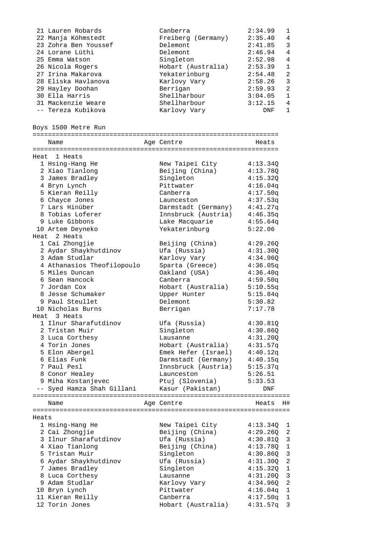|       | 21 Lauren Robards          | Canberra                 | 2:34.99  | 1              |
|-------|----------------------------|--------------------------|----------|----------------|
|       | 22 Manja Köhmstedt         | Freiberg (Germany)       | 2:35.40  | 4              |
|       | 23 Zohra Ben Youssef       | Delemont                 | 2:41.85  | 3              |
|       | 24 Lorane Lüthi            | Delemont                 | 2:46.94  | 4              |
|       | 25 Emma Watson             | Singleton                | 2:52.98  | 4              |
|       | 26 Nicola Rogers           | Hobart (Australia)       | 2:53.39  | $\mathbf{1}$   |
|       | 27 Irina Makarova          | Yekaterinburg            | 2:54.48  | 2              |
|       | 28 Eliska Havlanova        | Karlovy Vary             | 2:58.26  | $\mathfrak{Z}$ |
|       | 29 Hayley Doohan           | Berrigan                 | 2:59.93  | $\overline{2}$ |
|       | 30 Ella Harris             | Shellharbour             | 3:04.05  | $\mathbf{1}$   |
|       | 31 Mackenzie Weare         | Shellharbour             | 3:12.15  | 4              |
|       | -- Tereza Kubikova         | Karlovy Vary             | DNF      | $\mathbf{1}$   |
|       |                            |                          |          |                |
|       |                            |                          |          |                |
|       | Boys 1500 Metre Run        |                          |          |                |
|       |                            |                          |          |                |
|       | Name                       | Age Centre               | Heats    |                |
|       |                            |                          |          |                |
|       | Heat 1 Heats               |                          |          |                |
|       | 1 Hsing-Hang He            | New Taipei City          | 4:13.34Q |                |
|       | 2 Xiao Tianlong            | Beijing (China)          | 4:13.78Q |                |
|       | 3 James Bradley            | Singleton                | 4:15.320 |                |
|       | 4 Bryn Lynch               | Pittwater                | 4:16.04q |                |
|       | 5 Kieran Reilly            | Canberra                 | 4:17.50q |                |
|       | 6 Chayce Jones             | Launceston               | 4:37.53q |                |
|       | 7 Lars Hinüber             | Darmstadt (Germany)      | 4:41.27q |                |
|       | 8 Tobias Loferer           | Innsbruck (Austria)      | 4:46.35q |                |
|       | 9 Luke Gibbons             | Lake Macquarie           | 4:55.64q |                |
|       | 10 Artem Deyneko           | Yekaterinburg            | 5:22.06  |                |
| Heat  | 2 Heats                    |                          |          |                |
|       | 1 Cai Zhongjie             | Beijing (China)          | 4:29.26Q |                |
|       | 2 Aydar Shaykhutdinov      | Ufa (Russia)             | 4:31.30Q |                |
|       | 3 Adam Studlar             | Karlovy Vary             | 4:34.96Q |                |
|       | 4 Athanasios Theofilopoulo | Sparta (Greece)          | 4:36.05q |                |
|       | 5 Miles Duncan             | Oakland (USA)            | 4:36.40q |                |
|       | 6 Sean Hancock             | Canberra                 | 4:59.50q |                |
|       | 7 Jordan Cox               | Hobart (Australia)       | 5:10.55q |                |
|       | 8 Jesse Schumaker          |                          |          |                |
|       |                            | Upper Hunter<br>Delemont | 5:15.84q |                |
|       | 9 Paul Steullet            |                          | 5:30.82  |                |
|       | 10 Nicholas Burns          | Berrigan                 | 7:17.78  |                |
|       | Heat 3 Heats               |                          |          |                |
|       | 1 Ilnur Sharafutdinov      | Ufa (Russia)             | 4:30.81Q |                |
|       | 2 Tristan Muir             | Singleton                | 4:30.86Q |                |
|       | 3 Luca Corthesy            | Lausanne                 | 4:31.20Q |                |
|       | 4 Torin Jones              | Hobart (Australia)       | 4:31.57q |                |
|       | 5 Elon Abergel             | Emek Hefer (Israel)      | 4:40.12q |                |
|       | 6 Elias Funk               | Darmstadt (Germany)      | 4:40.15q |                |
|       | 7 Paul Pesl                | Innsbruck (Austria)      | 5:15.37q |                |
|       | 8 Conor Healey             | Launceston               | 5:26.51  |                |
|       | 9 Miha Kostanjevec         | Ptuj (Slovenia)          | 5:33.53  |                |
|       | -- Syed Hamza Shah Gillani | Kasur (Pakistan)         | DNF      |                |
|       |                            |                          |          |                |
|       | Name                       | Age Centre               | Heats    | H#             |
|       |                            |                          |          |                |
| Heats |                            |                          |          |                |
|       | 1 Hsing-Hang He            | New Taipei City          | 4:13.34Q | ı              |
|       | 2 Cai Zhongjie             | Beijing (China)          | 4:29.26Q | 2              |
|       | 3 Ilnur Sharafutdinov      | Ufa (Russia)             | 4:30.81Q | 3              |
|       | 4 Xiao Tianlong            | Beijing (China)          | 4:13.78Q | $\mathbf{1}$   |
|       | 5 Tristan Muir             | Singleton                | 4:30.86Q | $\mathbf{3}$   |
|       | 6 Aydar Shaykhutdinov      | Ufa (Russia)             | 4:31.30Q | $\overline{2}$ |
|       | 7 James Bradley            | Singleton                | 4:15.32Q | $\mathbf{1}$   |
|       | 8 Luca Corthesy            | Lausanne                 |          | 3              |
|       |                            |                          | 4:31.20Q |                |
|       | 9 Adam Studlar             | Karlovy Vary             | 4:34.96Q | 2              |
|       | 10 Bryn Lynch              | Pittwater                | 4:16.04q | 1              |
|       | 11 Kieran Reilly           | Canberra                 | 4:17.50q | 1              |
|       | 12 Torin Jones             | Hobart (Australia)       | 4:31.57q | 3              |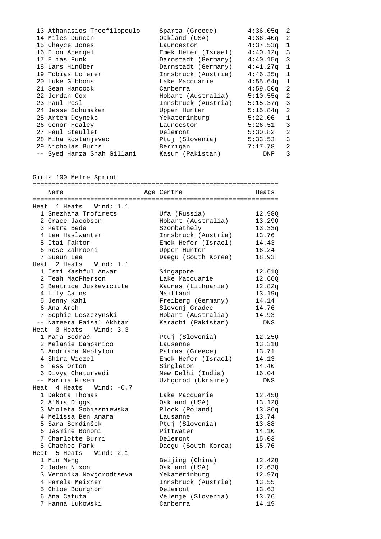| 13 Athanasios Theofilopoulo | Sparta (Greece)     | 4:36.05q     | -2           |
|-----------------------------|---------------------|--------------|--------------|
| 14 Miles Duncan             | Oakland (USA)       | $4:36.40q$ 2 |              |
| 15 Chayce Jones             | Launceston          | $4:37.53q$ 1 |              |
| 16 Elon Abergel             | Emek Hefer (Israel) | $4:40.12q$ 3 |              |
| 17 Elias Funk               | Darmstadt (Germany) | $4:40.15q$ 3 |              |
| 18 Lars Hinüber             | Darmstadt (Germany) | $4:41.27q$ 1 |              |
| 19 Tobias Loferer           | Innsbruck (Austria) | $4:46.35q$ 1 |              |
| 20 Luke Gibbons             | Lake Macquarie      | $4:55.64q$ 1 |              |
| 21 Sean Hancock             | Canberra            | $4:59.50$ q  | -2           |
| 22 Jordan Cox               | Hobart (Australia)  | $5:10.55q$ 2 |              |
| 23 Paul Pesl                | Innsbruck (Austria) | $5:15.37q$ 3 |              |
| 24 Jesse Schumaker          | Upper Hunter        | $5:15.84q$ 2 |              |
| 25 Artem Deyneko            | Yekaterinburg       | 5:22.06      | $\mathbf{1}$ |
| 26 Conor Healey             | Launceston          | 5:26.51      | 3            |
| 27 Paul Steullet            | Delemont            | 5:30.82      | 2            |
| 28 Miha Kostanjevec         | Ptuj (Slovenia)     | 5:33.53      | 3            |
| 29 Nicholas Burns           | Berrigan            | 7:17.78      | 2            |
| -- Syed Hamza Shah Gillani  | Kasur (Pakistan)    | DNF          | 3            |

Girls 100 Metre Sprint

| ===========<br>================                  | ====================================== |                 |
|--------------------------------------------------|----------------------------------------|-----------------|
| Name                                             | Age Centre                             | Heats           |
|                                                  |                                        |                 |
| Heat 1 Heats<br>Wind: $1.1$                      |                                        |                 |
| 1 Snezhana Trofimets                             | Ufa (Russia)                           | 12.98Q          |
| 2 Grace Jacobson                                 | Hobart (Australia)                     | 13.29Q          |
| 3 Petra Bede                                     | Szombathely                            | 13.33q          |
| 4 Lea Haslwanter<br>5 Itai Faktor                | Innsbruck (Austria)                    | 13.76           |
|                                                  | Emek Hefer (Israel)                    | 14.43           |
| 6 Rose Zahrooni                                  | Upper Hunter                           | 16.24           |
| 7 Sueun Lee                                      | Daegu (South Korea)                    | 18.93           |
| Heat 2 Heats Wind: 1.1                           |                                        |                 |
| 1 Ismi Kashful Anwar                             | Singapore                              | 12.610          |
| 2 Teah MacPherson                                | Lake Macquarie                         | 12.66Q          |
| 3 Beatrice Juskeviciute                          | Kaunas (Lithuania)                     | 12.82q          |
| 4 Lily Cains                                     | Maitland                               | 13.19q          |
| 5 Jenny Kahl                                     | Freiberg (Germany)                     | 14.14           |
| 6 Ana Areh                                       | Slovenj Gradec                         | 14.76           |
| 7 Sophie Leszczynski<br>-- Nameera Faisal Akhtar | Hobart (Australia)                     | 14.93           |
|                                                  | Karachi (Pakistan)                     | <b>DNS</b>      |
| Heat 3 Heats Wind: 3.3                           |                                        |                 |
| 1 Maja Bedrač                                    | Ptuj (Slovenia)                        | 12.25Q          |
| 2 Melanie Campanico                              | Lausanne                               | 13.31Q          |
| 3 Andriana Neofytou                              | Patras (Greece)                        | 13.71           |
| 4 Shira Wiezel                                   | Emek Hefer (Israel)                    | 14.13           |
| 5 Tess Orton                                     | Singleton                              | 14.40           |
| 6 Divya Chaturvedi<br>-- Mariia Hisem            | New Delhi (India)                      | 16.04           |
| Heat 4 Heats<br>Wind: -0.7                       | Uzhgorod (Ukraine)                     | <b>DNS</b>      |
|                                                  |                                        |                 |
| 1 Dakota Thomas                                  | Lake Macquarie                         | 12.45Q          |
| 2 A'Nia Diqqs<br>3 Wioleta Sobiesniewska         | Oakland (USA)                          | 13.12Q          |
| 4 Melissa Ben Amara                              | Plock (Poland)<br>Lausanne             | 13.36q<br>13.74 |
| 5 Sara Serdinšek                                 | Ptuj (Slovenia)                        | 13.88           |
| 6 Jasmine Bonomi                                 | Pittwater                              | 14.10           |
| 7 Charlotte Burri                                | Delemont                               |                 |
| 8 Chaehee Park                                   |                                        | 15.03<br>15.76  |
| 5 Heats Wind: 2.1<br>Heat                        | Daegu (South Korea)                    |                 |
| 1 Min Meng                                       |                                        |                 |
| 2 Jaden Nixon                                    | Beijing (China)                        | 12.42Q          |
|                                                  | Oakland (USA)                          | 12.63Q          |
| 3 Veronika Novgorodtseva<br>4 Pamela Meixner     | Yekaterinburg                          | 12.97q          |
| 5 Chloé Bourgnon                                 | Innsbruck (Austria)<br>Delemont        | 13.55<br>13.63  |
| 6 Ana Cafuta                                     | Velenje (Slovenia)                     | 13.76           |
| 7 Hanna Lukowski                                 | Canberra                               | 14.19           |
|                                                  |                                        |                 |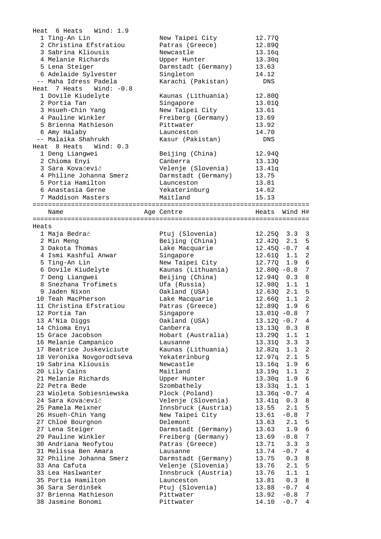|       | Heat 6 Heats<br>Wind: 1.9                 |                                       |                                                 |
|-------|-------------------------------------------|---------------------------------------|-------------------------------------------------|
|       | 1 Ting-An Lin                             | New Taipei City                       | 12.77Q                                          |
|       | 2 Christina Efstratiou                    | Patras (Greece)                       | 12.890                                          |
|       | 3 Sabrina Kliousis                        | Newcastle                             | 13.16q                                          |
|       | 4 Melanie Richards                        | Upper Hunter                          | 13.30q                                          |
|       | 5 Lena Steiger                            | Darmstadt (Germany)                   | 13.63                                           |
|       | 6 Adelaide Sylvester                      | Singleton                             | 14.12                                           |
|       | -- Maha Idress Padela                     | Karachi (Pakistan)                    | DNS                                             |
|       | Heat 7 Heats<br>Wind: -0.8                |                                       |                                                 |
|       | 1 Dovile Kiudelyte                        | Kaunas (Lithuania)                    | 12.800                                          |
|       | 2 Portia Tan                              | Singapore                             | 13.01Q                                          |
|       | 3 Hsueh-Chin Yang                         | New Taipei City                       | 13.61                                           |
|       | 4 Pauline Winkler                         | Freiberg (Germany)                    | 13.69                                           |
|       | 5 Brienna Mathieson                       | Pittwater                             | 13.92                                           |
|       | 6 Amy Halaby                              | Launceston                            | 14.70                                           |
|       | -- Malaika Shahrukh                       | Kasur (Pakistan)                      | DNS                                             |
|       | Heat 8 Heats Wind: 0.3                    |                                       |                                                 |
|       | 1 Deng Liangwei                           | Beijing (China)                       | 12.94Q                                          |
|       | 2 Chioma Enyi                             | Canberra                              | 13.13Q                                          |
|       | 3 Sara Kovačevič                          | Velenje (Slovenia)                    | 13.41q                                          |
|       | 4 Philine Johanna Smerz                   | Darmstadt (Germany)                   | 13.75                                           |
|       | 5 Portia Hamilton                         | Launceston                            | 13.81                                           |
|       | 6 Anastasia Gerne                         | Yekaterinburg                         | 14.62                                           |
|       | 7 Maddison Masters                        | Maitland                              | 15.13                                           |
|       |                                           |                                       |                                                 |
|       | Name                                      | Age Centre                            | Heats<br>Wind H#                                |
|       |                                           |                                       |                                                 |
| Heats |                                           |                                       |                                                 |
|       | 1 Maja Bedrač                             | Ptuj (Slovenia)                       | $12.25Q$ $3.3$ 3                                |
|       | 2 Min Meng                                | Beijing (China)                       | 2.1 <sub>5</sub><br>12.42Q                      |
|       | 3 Dakota Thomas                           | Lake Macquarie                        | $12.45Q - 0.7$ 4                                |
|       | 4 Ismi Kashful Anwar                      | Singapore                             | $1.1 \t2$<br>12.61Q                             |
|       | 5 Ting-An Lin                             | New Taipei City                       | 1.9 6<br>12.77Q                                 |
|       | 6 Dovile Kiudelyte                        | Kaunas (Lithuania)                    | $12.80Q - 0.8$ 7                                |
|       | 7 Deng Liangwei                           | Beijing (China)                       | 12.94Q<br>0.3 8                                 |
|       | 8 Snezhana Trofimets                      | Ufa (Russia)                          | $1.1 \quad 1$<br>12.98Q                         |
|       | 9 Jaden Nixon                             | Oakland (USA)                         | 2.1<br>5<br>12.63Q                              |
|       | 10 Teah MacPherson                        | Lake Macquarie                        | $1.1 \t2$<br>12.660                             |
|       | 11 Christina Efstratiou                   | Patras (Greece)                       | 6<br>1.9<br>12.89Q                              |
|       | 12 Portia Tan                             | Singapore                             | $13.01Q - 0.8$ 7                                |
|       | 13 A'Nia Diggs                            | Oakland (USA)                         | $13.12Q - 0.7$ 4                                |
|       | 14 Chioma Enyi                            | Canberra                              | 13.13Q<br>0.3<br>8                              |
|       | 15 Grace Jacobson                         | Hobart (Australia)                    | 13.29Q<br>1.1<br>$\mathbf{1}$                   |
|       | 16 Melanie Campanico                      | Lausanne                              | 13.31Q<br>3.3<br>3                              |
|       | 17 Beatrice Juskeviciute                  | Kaunas (Lithuania)                    | $\sqrt{2}$<br>12.82q<br>1.1                     |
|       | 18 Veronika Novgorodtseva                 | Yekaterinburg                         | 5<br>12.97q<br>2.1                              |
|       | 19 Sabrina Kliousis                       | Newcastle                             | $\epsilon$<br>13.16q<br>1.9                     |
|       | 20 Lily Cains                             | Maitland                              | $\mathbf{2}$<br>1.1<br>13.19q                   |
|       | 21 Melanie Richards                       | Upper Hunter                          | $\sqrt{6}$<br>1.9<br>13.30q                     |
|       | 22 Petra Bede                             | Szombathely                           | $\mathbf{1}$<br>13.33q<br>1.1                   |
|       | 23 Wioleta Sobiesniewska                  | Plock (Poland)                        | $13.36q -0.7$<br>4                              |
|       | 24 Sara Kovačevič                         | Velenje (Slovenia)                    | 0.3<br>13.41q<br>8                              |
|       | 25 Pamela Meixner                         | Innsbruck (Austria)                   | 13.55<br>5<br>2.1                               |
|       | 26 Hsueh-Chin Yang                        | New Taipei City                       | $-0.8$<br>7<br>13.61                            |
|       | 27 Chloé Bourgnon                         | Delemont                              | 13.63<br>2.1<br>5                               |
|       | 27 Lena Steiger                           |                                       | $\sqrt{6}$<br>13.63<br>1.9                      |
|       | 29 Pauline Winkler                        | Darmstadt (Germany)                   | $7\phantom{.0}$                                 |
|       | 30 Andriana Neofytou                      | Freiberg (Germany)<br>Patras (Greece) | 13.69<br>$-0.8$<br>3.3<br>$\mathbf{3}$<br>13.71 |
|       |                                           |                                       | $\overline{4}$                                  |
|       | 31 Melissa Ben Amara                      | Lausanne                              | 13.74<br>$-0.7$                                 |
|       | 32 Philine Johanna Smerz<br>33 Ana Cafuta | Darmstadt (Germany)                   | 13.75<br>0.3<br>8                               |
|       |                                           | Velenje (Slovenia)                    | 2.1<br>5<br>13.76                               |
|       | 33 Lea Haslwanter                         | Innsbruck (Austria)                   | 13.76<br>1.1<br>1                               |
|       | 35 Portia Hamilton                        | Launceston                            | 13.81<br>0.3<br>8                               |
|       | 36 Sara Serdinšek                         | Ptuj (Slovenia)                       | 13.88<br>$-0.7$<br>4                            |
|       | 37 Brienna Mathieson                      | Pittwater                             | 13.92<br>$-0.8$<br>7<br>4                       |
|       | 38 Jasmine Bonomi                         | Pittwater                             | 14.10<br>$-0.7$                                 |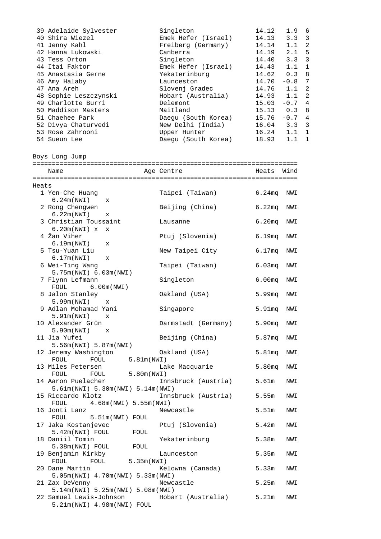|       | 39 Adelaide Sylvester<br>40 Shira Wiezel<br>41 Jenny Kahl<br>42 Hanna Lukowski<br>43 Tess Orton<br>44 Itai Faktor<br>45 Anastasia Gerne<br>46 Amy Halaby<br>47 Ana Areh<br>48 Sophie Leszczynski<br>49 Charlotte Burri<br>50 Maddison Masters<br>51 Chaehee Park<br>52 Divya Chaturvedi | Singleton<br>Emek Hefer (Israel)<br>Freiberg (Germany)<br>Canberra<br>Singleton<br>Emek Hefer (Israel)<br>Yekaterinburg<br>Launceston<br>Slovenj Gradec<br>Hobart (Australia)<br>Delemont<br>Maitland<br>Daegu (South Korea)<br>New Delhi (India) | 14.12<br>14.13<br>14.14<br>14.19<br>14.40<br>14.43<br>14.62<br>14.70<br>14.76<br>14.93<br>$15.03 - 0.7 4$<br>$15.13$ 0.3<br>$15.76 - 0.7 4$<br>16.04 | 1.9 <sub>6</sub><br>$3.3 \quad 3$<br>$1.1 \quad 2$<br>5<br>2.1<br>3<br>3.3<br>$\mathbf{1}$<br>1.1<br>0.3<br>8<br>7<br>$-0.8$<br>$\overline{2}$<br>1.1<br>$\overline{a}$<br>1.1<br>8<br>$3.3 \quad 3$ |
|-------|-----------------------------------------------------------------------------------------------------------------------------------------------------------------------------------------------------------------------------------------------------------------------------------------|---------------------------------------------------------------------------------------------------------------------------------------------------------------------------------------------------------------------------------------------------|------------------------------------------------------------------------------------------------------------------------------------------------------|------------------------------------------------------------------------------------------------------------------------------------------------------------------------------------------------------|
|       | 53 Rose Zahrooni<br>54 Sueun Lee                                                                                                                                                                                                                                                        | Upper Hunter<br>Daegu (South Korea)                                                                                                                                                                                                               | 16.24<br>18.93                                                                                                                                       | $\mathbf{1}$<br>1.1<br>1.1<br>$\mathbf{1}$                                                                                                                                                           |
|       | Boys Long Jump                                                                                                                                                                                                                                                                          |                                                                                                                                                                                                                                                   |                                                                                                                                                      |                                                                                                                                                                                                      |
|       | Name                                                                                                                                                                                                                                                                                    | Age Centre                                                                                                                                                                                                                                        | Heats                                                                                                                                                | Wind                                                                                                                                                                                                 |
|       |                                                                                                                                                                                                                                                                                         |                                                                                                                                                                                                                                                   |                                                                                                                                                      |                                                                                                                                                                                                      |
| Heats |                                                                                                                                                                                                                                                                                         |                                                                                                                                                                                                                                                   |                                                                                                                                                      |                                                                                                                                                                                                      |
|       | 1 Yen-Che Huang                                                                                                                                                                                                                                                                         | Taipei (Taiwan)                                                                                                                                                                                                                                   | $6.24$ mq                                                                                                                                            | NWI                                                                                                                                                                                                  |
|       | 6.24m(NWI)<br>$\mathbf{x}$                                                                                                                                                                                                                                                              |                                                                                                                                                                                                                                                   |                                                                                                                                                      |                                                                                                                                                                                                      |
|       | 2 Rong Chengwen                                                                                                                                                                                                                                                                         | Beijing (China)                                                                                                                                                                                                                                   | 6.22mg                                                                                                                                               | NWI                                                                                                                                                                                                  |
|       | 6.22m(NWT)<br>$\mathbf{x}$<br>3 Christian Toussaint                                                                                                                                                                                                                                     | Lausanne                                                                                                                                                                                                                                          | 6.20 <sub>mq</sub>                                                                                                                                   | NWI                                                                                                                                                                                                  |
|       | 6.20m(NWI) x<br>$\mathbf{x}$                                                                                                                                                                                                                                                            |                                                                                                                                                                                                                                                   |                                                                                                                                                      |                                                                                                                                                                                                      |
|       | 4 Žan Viher                                                                                                                                                                                                                                                                             | Ptuj (Slovenia)                                                                                                                                                                                                                                   | 6.19mg                                                                                                                                               | NWI                                                                                                                                                                                                  |
|       | 6.19m(NWT)<br>$\mathbf{x}$                                                                                                                                                                                                                                                              |                                                                                                                                                                                                                                                   |                                                                                                                                                      |                                                                                                                                                                                                      |
|       | 5 Tsu-Yuan Liu<br>6.17m(NWI)<br>X                                                                                                                                                                                                                                                       | New Taipei City                                                                                                                                                                                                                                   | 6.17mg                                                                                                                                               | NWI                                                                                                                                                                                                  |
|       | 6 Wei-Ting Wang                                                                                                                                                                                                                                                                         | Taipei (Taiwan)                                                                                                                                                                                                                                   | 6.03 <sub>mq</sub>                                                                                                                                   | NWI                                                                                                                                                                                                  |
|       | 5.75m(NWI) 6.03m(NWI)                                                                                                                                                                                                                                                                   |                                                                                                                                                                                                                                                   |                                                                                                                                                      |                                                                                                                                                                                                      |
|       | 7 Flynn Lefmann<br>6.00m(NWI)<br>FOUL                                                                                                                                                                                                                                                   | Singleton                                                                                                                                                                                                                                         | 6.00 <sub>mq</sub>                                                                                                                                   | NWI                                                                                                                                                                                                  |
|       | 8 Jalon Stanley                                                                                                                                                                                                                                                                         | Oakland (USA)                                                                                                                                                                                                                                     | 5.99 <sub>mq</sub>                                                                                                                                   | NWI                                                                                                                                                                                                  |
|       | 5.99m(NWI)<br>$\mathbf x$                                                                                                                                                                                                                                                               |                                                                                                                                                                                                                                                   |                                                                                                                                                      |                                                                                                                                                                                                      |
|       | 9 Adlan Mohamad Yani<br>$5.91m(NWI)$ $x$                                                                                                                                                                                                                                                | Singapore                                                                                                                                                                                                                                         | 5.91mq                                                                                                                                               | NWI                                                                                                                                                                                                  |
|       | 10 Alexander Grün                                                                                                                                                                                                                                                                       | Darmstadt (Germany) 5.90mq                                                                                                                                                                                                                        |                                                                                                                                                      | NWI                                                                                                                                                                                                  |
|       | $5.90m(NWI)$ x<br>11 Jia Yufei                                                                                                                                                                                                                                                          | Beijing (China)                                                                                                                                                                                                                                   | 5.87 <sub>mq</sub>                                                                                                                                   | NWI                                                                                                                                                                                                  |
|       | 5.56m(NWI) 5.87m(NWI)                                                                                                                                                                                                                                                                   |                                                                                                                                                                                                                                                   |                                                                                                                                                      |                                                                                                                                                                                                      |
|       |                                                                                                                                                                                                                                                                                         |                                                                                                                                                                                                                                                   | 5.81mg                                                                                                                                               | NWI                                                                                                                                                                                                  |
|       |                                                                                                                                                                                                                                                                                         | Lake Macquarie                                                                                                                                                                                                                                    | 5.80 <sub>mq</sub>                                                                                                                                   | NWI                                                                                                                                                                                                  |
|       | 13 Miles Petersen<br>FOUL FOUL 5.80m(NWI)                                                                                                                                                                                                                                               |                                                                                                                                                                                                                                                   |                                                                                                                                                      |                                                                                                                                                                                                      |
|       | 14 Aaron Puelacher                                                                                                                                                                                                                                                                      | Innsbruck (Austria) 5.61m                                                                                                                                                                                                                         |                                                                                                                                                      | NWI                                                                                                                                                                                                  |
|       | 5.61m(NWI) 5.30m(NWI) 5.14m(NWI)<br>15 Riccardo Klotz                                                                                                                                                                                                                                   | Innsbruck (Austria) 5.55m                                                                                                                                                                                                                         |                                                                                                                                                      | NWI                                                                                                                                                                                                  |
|       | FOUL 4.68m (NWI) 5.55m (NWI)                                                                                                                                                                                                                                                            |                                                                                                                                                                                                                                                   |                                                                                                                                                      |                                                                                                                                                                                                      |
|       | 16 Jonti Lanz                                                                                                                                                                                                                                                                           | Newcastle                                                                                                                                                                                                                                         | 5.51m                                                                                                                                                | NWI                                                                                                                                                                                                  |
|       | FOUL 5.51m(NWI) FOUL<br>17 Jaka Kostanjevec                                                                                                                                                                                                                                             | Ptuj (Slovenia)                                                                                                                                                                                                                                   | 5.42m                                                                                                                                                | NWI                                                                                                                                                                                                  |
|       | 5.42m(NWI) FOUL FOUL                                                                                                                                                                                                                                                                    |                                                                                                                                                                                                                                                   |                                                                                                                                                      |                                                                                                                                                                                                      |
|       | 18 Daniil Tomin                                                                                                                                                                                                                                                                         | Yekaterinburg                                                                                                                                                                                                                                     | 5.38m                                                                                                                                                | NWI                                                                                                                                                                                                  |
|       | 5.38m(NWI) FOUL FOUL<br>19 Benjamin Kirkby                                                                                                                                                                                                                                              | Launceston                                                                                                                                                                                                                                        | 5.35 <sub>m</sub>                                                                                                                                    | NWI                                                                                                                                                                                                  |
|       | $FOUL$ 5.35 $m(NWI)$<br>FOUL                                                                                                                                                                                                                                                            |                                                                                                                                                                                                                                                   |                                                                                                                                                      |                                                                                                                                                                                                      |
|       | 20 Dane Martin                                                                                                                                                                                                                                                                          | Kelowna (Canada)                                                                                                                                                                                                                                  | 5.33m                                                                                                                                                | NWI                                                                                                                                                                                                  |
|       | 5.05m(NWI) 4.70m(NWI) 5.33m(NWI)                                                                                                                                                                                                                                                        |                                                                                                                                                                                                                                                   | 5.25m                                                                                                                                                |                                                                                                                                                                                                      |
|       | 21 Zax DeVenny<br>5.14m(NWI) 5.25m(NWI) 5.08m(NWI)                                                                                                                                                                                                                                      | Newcastle                                                                                                                                                                                                                                         |                                                                                                                                                      | NWI                                                                                                                                                                                                  |
|       | 22 Samuel Lewis-Johnson (Australia) 5.21m<br>5.21m(NWI) 4.98m(NWI) FOUL                                                                                                                                                                                                                 |                                                                                                                                                                                                                                                   |                                                                                                                                                      | NWI                                                                                                                                                                                                  |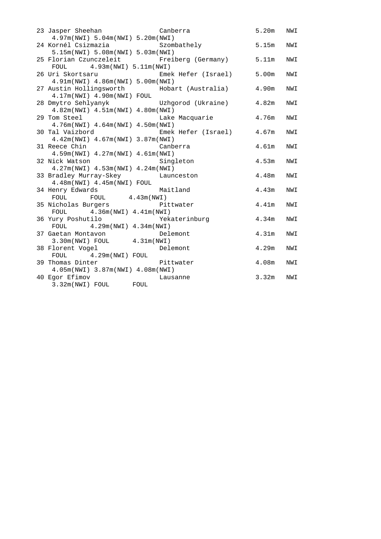| 23 Jasper Sheehan<br>4.97m(NWI) 5.04m(NWI) 5.20m(NWI)           | Canberra                                    | 5.20m             | NWI |
|-----------------------------------------------------------------|---------------------------------------------|-------------------|-----|
| 24 Kornél Csizmazia<br>5.15m(NWI) 5.08m(NWI) 5.03m(NWI)         | Szombathely                                 | 5.15m             | NWI |
| FOUL 4.93m (NWI) 5.11m (NWI)                                    | 25 Florian Czunczeleit - Freiberg (Germany) | 5.11m             | NWI |
| 26 Uri Skortsaru<br>4.91m(NWI) 4.86m(NWI) 5.00m(NWI)            | Emek Hefer (Israel)                         | 5.00 <sub>m</sub> | NWI |
|                                                                 | 27 Austin Hollingsworth Mobart (Australia)  | 4.90m             | NWI |
| 4.17m(NWI) 4.90m(NWI) FOUL<br>28 Dmytro Sehlyanyk               | Uzhgorod (Ukraine)                          | 4.82m             | NWI |
| 4.82m(NWI) 4.51m(NWI) 4.80m(NWI)<br>29 Tom Steel                | Lake Macquarie                              | 4.76m             | NWI |
| 4.76m (NWI) 4.64m (NWI) 4.50m (NWI)<br>30 Tal Vaizbord          | Emek Hefer (Israel)                         | 4.67m             | NWI |
| 4.42m(NWI) 4.67m(NWI) 3.87m(NWI)<br>31 Reece Chin               | Canberra                                    | 4.61 <sub>m</sub> | NWI |
| 4.59m(NWI) 4.27m(NWI) 4.61m(NWI)<br>32 Nick Watson              | Singleton                                   | 4.53m             | NWI |
| 4.27m(NWI) 4.53m(NWI) 4.24m(NWI)                                |                                             |                   |     |
| 33 Bradley Murray-Skey Launceston<br>4.48m(NWI) 4.45m(NWI) FOUL |                                             | 4.48m             | NWI |
| 34 Henry Edwards<br>FOUL                                        | Maitland                                    | 4.43m             | NWI |
| $FOUL$ 4.43m(NWI)<br>35 Nicholas Burgers                        | Pittwater                                   | 4.41m             | NWI |
| FOUL $4.36m(NWI)$ $4.41m(NWI)$                                  |                                             |                   |     |
| 36 Yury Poshutilo                                               | Yekaterinburg                               | 4.34 <sub>m</sub> | NWI |
| $4.29m(NWI)$ $4.34m(NWI)$<br>FOUL<br>37 Gaetan Montavon         | Delemont                                    | 4.31 <sub>m</sub> | NWI |
| $3.30m(NWI)$ FOUL $4.31m(NWI)$                                  |                                             |                   |     |
| 38 Florent Vogel                                                | Delemont                                    | 4.29m             | NWI |
| FOUL 4.29m (NWI) FOUL<br>39 Thomas Dinter                       | Pittwater                                   | 4.08m             | NWI |
| 4.05m(NWI) 3.87m(NWI) 4.08m(NWI)                                |                                             |                   |     |
| 40 Egor Efimov                                                  | Lausanne                                    | 3.32m             | NWI |
| 3.32m(NWI) FOUL FOUL                                            |                                             |                   |     |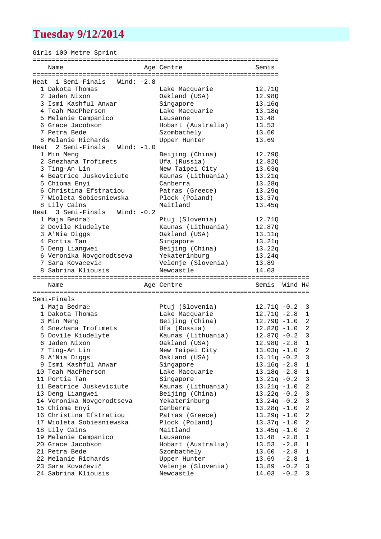# **Tuesday 9/12/2014**

Girls 100 Metre Sprint

| Name                                     | Age Centre                      | Semis                                        |
|------------------------------------------|---------------------------------|----------------------------------------------|
|                                          |                                 |                                              |
| Heat 1 Semi-Finals Wind: -2.8            |                                 |                                              |
| 1 Dakota Thomas                          | Lake Macquarie                  | 12.71Q                                       |
| 2 Jaden Nixon                            | Oakland (USA)                   | 12.98Q                                       |
| 3 Ismi Kashful Anwar                     | Singapore                       | 13.16q                                       |
| 4 Teah MacPherson                        | Lake Macquarie                  | 13.18q                                       |
| 5 Melanie Campanico                      | Lausanne                        | 13.48                                        |
| 6 Grace Jacobson                         | Hobart (Australia)              | 13.53                                        |
| 7 Petra Bede                             | Szombathely                     | 13.60                                        |
| 8 Melanie Richards                       | Upper Hunter                    | 13.69                                        |
| Heat 2 Semi-Finals Wind: -1.0            |                                 |                                              |
| 1 Min Meng                               | Beijing (China)                 | 12.79Q                                       |
| 2 Snezhana Trofimets                     | Ufa (Russia)                    | 12.82Q                                       |
| 3 Ting-An Lin                            | New Taipei City                 | 13.03q                                       |
| 4 Beatrice Juskeviciute                  | Kaunas (Lithuania)              | 13.21q                                       |
| 5 Chioma Enyi                            | Canberra                        | 13.28q                                       |
| 6 Christina Efstratiou                   | Patras (Greece)                 | 13.29q                                       |
| 7 Wioleta Sobiesniewska                  | Plock (Poland)                  | 13.37q                                       |
| 8 Lily Cains                             | Maitland                        | 13.45q                                       |
| Heat $3$ Semi-Finals Wind: $-0.2$        |                                 |                                              |
| 1 Maja Bedrač                            | Ptuj (Slovenia)                 | 12.71Q                                       |
| 2 Dovile Kiudelyte                       | Kaunas (Lithuania)              | 12.87Q                                       |
| 3 A'Nia Diggs                            | Oakland (USA)                   | 13.11q                                       |
| 4 Portia Tan                             |                                 |                                              |
|                                          | Singapore                       | 13.21q                                       |
| 5 Deng Liangwei                          | Beijing (China)                 | 13.22q                                       |
| 6 Veronika Novgorodtseva                 | Yekaterinburg                   | 13.24q                                       |
| 7 Sara Kovačevič                         | Velenje (Slovenia)              | 13.89                                        |
|                                          |                                 |                                              |
| 8 Sabrina Kliousis                       | Newcastle                       | 14.03                                        |
|                                          |                                 |                                              |
| Name                                     | Age Centre                      | Semis Wind H#                                |
|                                          |                                 |                                              |
| Semi-Finals                              |                                 |                                              |
| 1 Maja Bedrač                            | Ptuj (Slovenia)                 | $12.71Q - 0.2$ 3                             |
| 1 Dakota Thomas                          | Lake Macquarie                  | $12.71Q - 2.8$ 1                             |
| 3 Min Meng                               | Beijing (China)                 | $12.79Q - 1.0$ 2                             |
| 4 Snezhana Trofimets                     | Ufa (Russia)                    | $12.82Q - 1.0$ 2                             |
| 5 Dovile Kiudelyte                       | Kaunas (Lithuania)              | $12.87Q - 0.2$ 3                             |
| 6 Jaden Nixon                            | Oakland (USA)                   | $12.98Q - 2.8$ 1                             |
| 7 Ting-An Lin                            | New Taipei City                 | $13.03q -1.0$<br>2                           |
| 8 A'Nia Diggs                            | Oakland (USA)                   | 3<br>$13.11q - 0.2$                          |
| 9 Ismi Kashful Anwar                     | Singapore                       | $13.16q -2.8$<br>$\mathbf{1}$                |
| 10 Teah MacPherson                       | Lake Macquarie                  | $13.18q - 2.8$<br>1                          |
| 11 Portia Tan                            | Singapore                       | $13.21q - 0.2$<br>3                          |
| 11 Beatrice Juskeviciute                 | Kaunas (Lithuania)              | 2<br>$13.21q - 1.0$                          |
| 13 Deng Liangwei                         | Beijing (China)                 | 3<br>$13.22q - 0.2$                          |
| 14 Veronika Novgorodtseva                | Yekaterinburg                   | $\mathsf 3$<br>$13.24q - 0.2$                |
| 15 Chioma Enyi                           | Canberra                        | $13.28q - 1.0$<br>2                          |
| 16 Christina Efstratiou                  | Patras (Greece)                 | $13.29q -1.0$<br>2                           |
| 17 Wioleta Sobiesniewska                 | Plock (Poland)                  | $13.37q -1.0$<br>2                           |
| 18 Lily Cains                            | Maitland                        | $13.45q -1.0$<br>2                           |
| 19 Melanie Campanico                     | Lausanne                        | 13.48<br>$-2.8$<br>1                         |
| 20 Grace Jacobson                        | Hobart (Australia)              | 13.53<br>$-2.8$<br>1                         |
| 21 Petra Bede                            | Szombathely                     | $-2.8$<br>13.60<br>1                         |
| 22 Melanie Richards                      | Upper Hunter                    | 13.69<br>$-2.8$<br>1                         |
| 23 Sara Kovačevič<br>24 Sabrina Kliousis | Velenje (Slovenia)<br>Newcastle | 13.89<br>$-0.2$<br>3<br>3<br>14.03<br>$-0.2$ |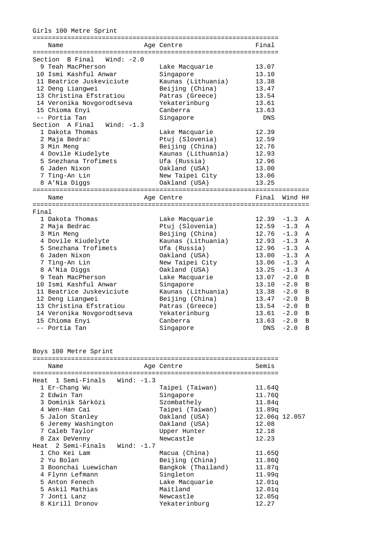| Girls 100 Metre Sprint |                                                                                                                                                                                                                                                                                                                                                                                             |                                                                                                                                                                                                                                                                     |                                                                                                                                   |                                                          |  |  |  |
|------------------------|---------------------------------------------------------------------------------------------------------------------------------------------------------------------------------------------------------------------------------------------------------------------------------------------------------------------------------------------------------------------------------------------|---------------------------------------------------------------------------------------------------------------------------------------------------------------------------------------------------------------------------------------------------------------------|-----------------------------------------------------------------------------------------------------------------------------------|----------------------------------------------------------|--|--|--|
| Name                   |                                                                                                                                                                                                                                                                                                                                                                                             | Age Centre                                                                                                                                                                                                                                                          | Final                                                                                                                             |                                                          |  |  |  |
|                        | Section B Final<br>Wind: $-2.0$<br>9 Teah MacPherson<br>10 Ismi Kashful Anwar<br>11 Beatrice Juskeviciute<br>12 Deng Liangwei<br>13 Christina Efstratiou<br>14 Veronika Novgorodtseva<br>15 Chioma Enyi<br>-- Portia Tan<br>Section A Final<br>Wind: -1.3<br>1 Dakota Thomas<br>2 Maja Bedrač<br>3 Min Meng<br>4 Dovile Kiudelyte<br>5 Snezhana Trofimets<br>6 Jaden Nixon<br>7 Ting-An Lin | Lake Macquarie<br>Singapore<br>Kaunas (Lithuania)<br>Beijing (China)<br>Patras (Greece)<br>Yekaterinburg<br>Canberra<br>Singapore<br>Lake Macquarie<br>Ptuj (Slovenia)<br>Beijing (China)<br>Kaunas (Lithuania)<br>Ufa (Russia)<br>Oakland (USA)<br>New Taipei City | 13.07<br>13.10<br>13.38<br>13.47<br>13.54<br>13.61<br>13.63<br>DNS<br>12.39<br>12.59<br>12.76<br>12.93<br>12.96<br>13.00<br>13.06 |                                                          |  |  |  |
|                        | 8 A'Nia Diggs                                                                                                                                                                                                                                                                                                                                                                               | Oakland (USA)                                                                                                                                                                                                                                                       | 13.25                                                                                                                             |                                                          |  |  |  |
| Name                   |                                                                                                                                                                                                                                                                                                                                                                                             | Age Centre                                                                                                                                                                                                                                                          | Final                                                                                                                             | Wind H#                                                  |  |  |  |
| Final                  |                                                                                                                                                                                                                                                                                                                                                                                             |                                                                                                                                                                                                                                                                     |                                                                                                                                   |                                                          |  |  |  |
|                        | 1 Dakota Thomas<br>2 Maja Bedrac<br>3 Min Meng<br>4 Dovile Kiudelyte                                                                                                                                                                                                                                                                                                                        | Lake Macquarie<br>Ptuj (Slovenia)<br>Beijing (China)                                                                                                                                                                                                                | 12.39<br>12.59<br>$12.76 - 1.3$<br>$12.93 - 1.3$                                                                                  | $-1.3$<br>Α<br>$-1.3$<br>Α<br><b>A</b><br>$\overline{A}$ |  |  |  |
|                        | 5 Snezhana Trofimets<br>6 Jaden Nixon<br>7 Ting-An Lin                                                                                                                                                                                                                                                                                                                                      | Kaunas (Lithuania)<br>Ufa (Russia)<br>Oakland (USA)<br>New Taipei City                                                                                                                                                                                              | $12.96 - 1.3$<br>$13.00 - 1.3$<br>13.06                                                                                           | $\mathsf{A}$<br>$\mathbb A$<br>$-1.3$<br>A               |  |  |  |
|                        | 8 A'Nia Diggs<br>9 Teah MacPherson<br>10 Ismi Kashful Anwar                                                                                                                                                                                                                                                                                                                                 | Oakland (USA)<br>Lake Macquarie<br>Singapore                                                                                                                                                                                                                        | 13.25<br>13.07<br>13.10                                                                                                           | $-1.3$<br>$\mathsf{A}$<br>$-2.0$<br>B<br>$-2.0$<br>B     |  |  |  |
|                        | 11 Beatrice Juskeviciute<br>12 Deng Liangwei<br>13 Christina Efstratiou                                                                                                                                                                                                                                                                                                                     | Kaunas (Lithuania)<br>Beijing (China)<br>Patras (Greece)                                                                                                                                                                                                            | 13.38<br>$13.47 - 2.0$<br>$13.54 - 2.0$                                                                                           | $-2.0$<br>B<br>B<br>$\overline{B}$                       |  |  |  |
|                        | 14 Veronika Novgorodtseva<br>15 Chioma Enyi<br>-- Portia Tan                                                                                                                                                                                                                                                                                                                                | Yekaterinburg<br>Canberra<br>Singapore                                                                                                                                                                                                                              | $13.61 - 2.0$<br>13.63<br><b>DNS</b>                                                                                              | B<br>$-2.0$<br>B<br>$-2.0$<br>B                          |  |  |  |

Boys 100 Metre Sprint

|  | Name                              | Age Centre         | Semis             |  |  |  |
|--|-----------------------------------|--------------------|-------------------|--|--|--|
|  |                                   | ----------------   |                   |  |  |  |
|  | Heat $1$ Semi-Finals Wind: $-1.3$ |                    |                   |  |  |  |
|  | 1 Er-Chang Wu                     | Taipei (Taiwan)    | 11.640            |  |  |  |
|  | 2 Edwin Tan                       | Singapore          | 11.760            |  |  |  |
|  | 3 Dominik Sárközi                 | Szombathely        | 11.84q            |  |  |  |
|  | 4 Wen-Han Cai                     | Taipei (Taiwan)    | 11.89q            |  |  |  |
|  | 5 Jalon Stanley                   | Oakland (USA)      | $12.06q$ $12.057$ |  |  |  |
|  | 6 Jeremy Washington               | Oakland (USA)      | 12.08             |  |  |  |
|  | 7 Caleb Taylor                    | Upper Hunter       | 12.18             |  |  |  |
|  | 8 Zax DeVenny                     | Newcastle          | 12.23             |  |  |  |
|  | Heat 2 Semi-Finals Wind: -1.7     |                    |                   |  |  |  |
|  | 1 Cho Kei Lam                     | Macua (China)      | 11.650            |  |  |  |
|  | 2 Yu Bolan                        | Beijing (China)    | 11.860            |  |  |  |
|  | 3 Boonchai Luewichan              | Bangkok (Thailand) | 11.87q            |  |  |  |
|  | 4 Flynn Lefmann                   | Singleton          | 11.99q            |  |  |  |
|  | 5 Anton Fenech                    | Lake Macquarie     | 12.01q            |  |  |  |
|  | 5 Askil Mathias                   | Maitland           | 12.01q            |  |  |  |
|  | 7 Jonti Lanz                      | Newcastle          | 12.05q            |  |  |  |
|  | 8 Kirill Dronov                   | Yekaterinburg      | 12.27             |  |  |  |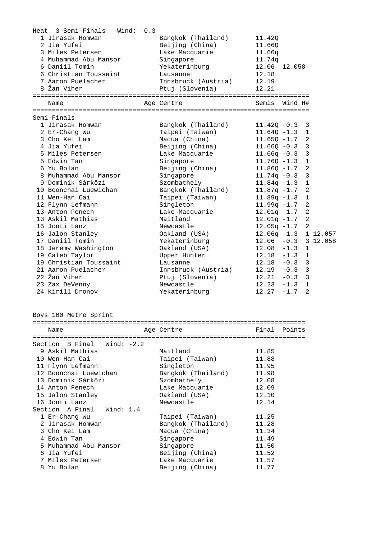| Heat 3 Semi-Finals<br>Wind: -0.3<br>1 Jirasak Homwan | Bangkok (Thailand)             | 11.42Q                         |                         |                      |
|------------------------------------------------------|--------------------------------|--------------------------------|-------------------------|----------------------|
| 2 Jia Yufei                                          | Beijing (China)                | 11.66Q                         |                         |                      |
| 3 Miles Petersen                                     | Lake Macquarie                 | 11.66q                         |                         |                      |
| 4 Muhammad Abu Mansor                                | Singapore                      | 11.74q                         |                         |                      |
| 6 Daniil Tomin                                       | Yekaterinburg                  | 12.06                          | 12.058                  |                      |
| 6 Christian Toussaint                                | Lausanne                       | 12.18                          |                         |                      |
| 7 Aaron Puelacher                                    | Innsbruck (Austria)            | 12.19                          |                         |                      |
| 8 Žan Viher                                          | Ptuj (Slovenia)                | 12.21                          |                         |                      |
| Name                                                 | Age Centre                     | Semis                          | Wind H#                 |                      |
| Semi-Finals                                          |                                |                                |                         |                      |
| 1 Jirasak Homwan                                     | Bangkok (Thailand)             | $11.420 - 0.3$                 | 3                       |                      |
| 2 Er-Chang Wu                                        | Taipei (Taiwan)                | $11.64Q - 1.3$                 | $\mathbf{1}$            |                      |
| 3 Cho Kei Lam                                        | Macua (China)                  | $11.65Q - 1.7$                 |                         | 2                    |
| 4 Jia Yufei                                          | Beijing (China)                | $11.66Q - 0.3$                 | 3                       |                      |
| 5 Miles Petersen                                     | Lake Macquarie                 | $11.66q -0.3$                  | 3                       |                      |
| 5 Edwin Tan                                          | Singapore                      | $11.76Q - 1.3$                 | $\mathbf{1}$            |                      |
| 6 Yu Bolan                                           | Beijing (China)                | $11.86Q - 1.7$                 | 2                       |                      |
| 8 Muhammad Abu Mansor                                | Singapore                      | $11.74q - 0.3$                 | 3                       |                      |
| 9 Dominik Sárközi                                    | Szombathely                    | $11.84q -1.3$                  | $\mathbf{1}$            |                      |
| 10 Boonchai Luewichan                                | Bangkok (Thailand)             | $11.87q - 1.7$                 | 2                       |                      |
| 11 Wen-Han Cai                                       | Taipei (Taiwan)                | $11.89q - 1.3$                 | $\mathbf 1$             |                      |
| 12 Flynn Lefmann                                     | Singleton                      | $11.99q -1.7$                  |                         | $\overline{a}$       |
| 13 Anton Fenech                                      | Lake Macquarie                 | $12.01q -1.7$                  |                         | $\overline{a}$       |
| 13 Askil Mathias                                     | Maitland                       | $12.01q -1.7$                  | $\overline{2}$          |                      |
| 15 Jonti Lanz                                        | Newcastle                      | $12.05q -1.7$                  |                         | 2                    |
| 16 Jalon Stanley<br>17 Daniil Tomin                  | Oakland (USA)<br>Yekaterinburg | $12.06q -1.3$<br>$12.06 - 0.3$ |                         | 1 12.057<br>3 12.058 |
| 18 Jeremy Washington                                 | Oakland (USA)                  | $12.08 - 1.3$                  | 1                       |                      |
| 19 Caleb Taylor                                      | Upper Hunter                   | $12.18 - 1.3$                  | $\mathbf{1}$            |                      |
| 19 Christian Toussaint                               | Lausanne                       | $12.18 - 0.3$                  | $\overline{\mathbf{3}}$ |                      |
| 21 Aaron Puelacher                                   | Innsbruck (Austria)            | $12.19 - 0.3$                  | $\overline{\mathbf{3}}$ |                      |
| 22 Žan Viher                                         | Ptuj (Slovenia)                | $12.21 - 0.3$                  | $\overline{\mathbf{3}}$ |                      |
| 23 Zax DeVenny                                       | Newcastle                      | $12.23 - 1.3$                  | $\mathbf{1}$            |                      |
| 24 Kirill Dronov                                     | Yekaterinburg                  | 12.27                          | $-1.7$                  | $\overline{a}$       |
| Boys 100 Metre Sprint                                |                                |                                |                         |                      |
|                                                      |                                |                                |                         |                      |
| Name                                                 | Age Centre                     |                                | Final Points            |                      |
| Section B Final<br>Wind: $-2.2$                      |                                |                                |                         |                      |
| 9 Askil Mathias                                      | Maitland                       | 11.85                          |                         |                      |
| 10 Wen-Han Cai                                       | Taipei (Taiwan)                | 11.88                          |                         |                      |
| 11 Flynn Lefmann                                     | Singleton                      | 11.95                          |                         |                      |
| 12 Boonchai Luewichan                                | Bangkok (Thailand)             | 11.98                          |                         |                      |
| 13 Dominik Sárközi                                   | Szombathely                    | 12.08                          |                         |                      |
| 14 Anton Fenech                                      | Lake Macquarie                 | 12.09                          |                         |                      |
| 15 Jalon Stanley                                     | Oakland (USA)                  | 12.10                          |                         |                      |
| 16 Jonti Lanz                                        | Newcastle                      | 12.14                          |                         |                      |
| Section A Final<br>Wind: $1.4$                       |                                |                                |                         |                      |
| 1 Er-Chang Wu                                        | Taipei (Taiwan)                | 11.25                          |                         |                      |
| 2 Jirasak Homwan                                     | Bangkok (Thailand)             | 11.28                          |                         |                      |
| 3 Cho Kei Lam                                        | Macua (China)                  | 11.34                          |                         |                      |
| 4 Edwin Tan                                          | Singapore                      | 11.49                          |                         |                      |
| 5 Muhammad Abu Mansor                                | Singapore                      | 11.50                          |                         |                      |
| 6 Jia Yufei                                          | Beijing (China)                | 11.52                          |                         |                      |
| 7 Miles Petersen                                     | Lake Macquarie                 | 11.57                          |                         |                      |
| 8 Yu Bolan                                           | Beijing (China)                | 11.77                          |                         |                      |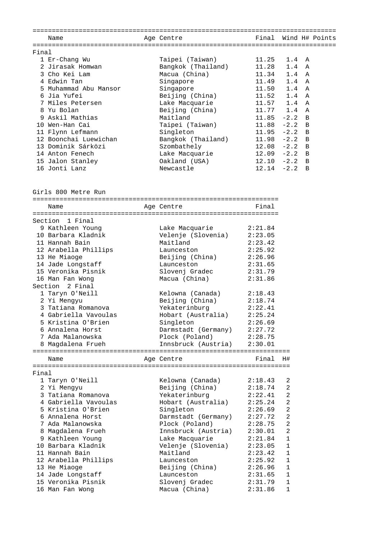|       | Name                  |  | Age Centre         | Final         |              | Wind H# Points |  |  |  |
|-------|-----------------------|--|--------------------|---------------|--------------|----------------|--|--|--|
|       |                       |  |                    |               |              |                |  |  |  |
| Final |                       |  |                    |               |              |                |  |  |  |
|       | 1 Er-Chang Wu         |  | Taipei (Taiwan)    | 11.25         | $1.4\quad A$ |                |  |  |  |
|       | 2 Jirasak Homwan      |  | Bangkok (Thailand) | 11.28         | 1.4          | A              |  |  |  |
|       | 3 Cho Kei Lam         |  | Macua (China)      | 11.34         | 1.4          | $\overline{A}$ |  |  |  |
|       | 4 Edwin Tan           |  | Singapore          | 11.49         | 1.4          | - A            |  |  |  |
|       | 5 Muhammad Abu Mansor |  | Singapore          | 11.50         | 1.4          | $\overline{A}$ |  |  |  |
|       | 6 Jia Yufei           |  | Beijing (China)    | 11.52         | 1.4          | A              |  |  |  |
|       | 7 Miles Petersen      |  | Lake Macquarie     | 11.57         | 1.4          | A              |  |  |  |
|       | 8 Yu Bolan            |  | Beijing (China)    | $11.77$ 1.4   |              | A              |  |  |  |
|       | 9 Askil Mathias       |  | Maitland           | 11.85         | $-2.2$ B     |                |  |  |  |
| 1 O   | Wen-Han Cai           |  | Taipei (Taiwan)    | 11.88         | $-2.2$ B     |                |  |  |  |
| 11    | Flynn Lefmann         |  | Singleton          | 11.95         | $-2.2$       | $\overline{B}$ |  |  |  |
|       | 12 Boonchai Luewichan |  | Bangkok (Thailand) | $11.98 - 2.2$ |              | $\overline{B}$ |  |  |  |
|       | 13 Dominik Sárközi    |  | Szombathely        | $12.08 - 2.2$ |              | B              |  |  |  |
|       | 14 Anton Fenech       |  | Lake Macquarie     | $12.09 - 2.2$ |              | B.             |  |  |  |
|       | 15 Jalon Stanley      |  | Oakland (USA)      | 12.10         | $-2.2$       | B <sub>1</sub> |  |  |  |
|       | 16 Jonti Lanz         |  | Newcastle          | 12.14         | $-2.2$       | B              |  |  |  |

Girls 800 Metre Run

|       | Name                 |  | Age Centre          | Final   |                |  |  |
|-------|----------------------|--|---------------------|---------|----------------|--|--|
|       | 1 Final<br>Section   |  |                     |         |                |  |  |
|       | 9 Kathleen Young     |  | Lake Macquarie      | 2:21.84 |                |  |  |
|       | 10 Barbara Kladnik   |  | Velenje (Slovenia)  | 2:23.05 |                |  |  |
|       | 11 Hannah Bain       |  | Maitland            | 2:23.42 |                |  |  |
|       | 12 Arabella Phillips |  | Launceston          | 2:25.92 |                |  |  |
|       | 13 He Miaoge         |  | Beijing (China)     | 2:26.96 |                |  |  |
|       | 14 Jade Longstaff    |  | Launceston          | 2:31.65 |                |  |  |
|       | 15 Veronika Pisnik   |  | Slovenj Gradec      | 2:31.79 |                |  |  |
|       | 16 Man Fan Wong      |  | Macua (China)       | 2:31.86 |                |  |  |
|       | Section 2 Final      |  |                     |         |                |  |  |
|       | 1 Taryn O'Neill      |  | Kelowna (Canada)    | 2:18.43 |                |  |  |
|       | 2 Yi Mengyu          |  | Beijing (China)     | 2:18.74 |                |  |  |
|       | 3 Tatiana Romanova   |  | Yekaterinburg       | 2:22.41 |                |  |  |
|       | 4 Gabriella Vavoulas |  | Hobart (Australia)  | 2:25.24 |                |  |  |
|       | 5 Kristina O'Brien   |  | Singleton           | 2:26.69 |                |  |  |
|       | 6 Annalena Horst     |  | Darmstadt (Germany) | 2:27.72 |                |  |  |
|       | 7 Ada Malanowska     |  | Plock (Poland)      | 2:28.75 |                |  |  |
|       | 8 Magdalena Frueh    |  | Innsbruck (Austria) | 2:30.01 |                |  |  |
|       |                      |  |                     |         |                |  |  |
|       | Name                 |  | Age Centre          | Final   | H#             |  |  |
|       |                      |  |                     |         |                |  |  |
| Final |                      |  |                     |         |                |  |  |
|       | 1 Taryn O'Neill      |  | Kelowna (Canada)    | 2:18.43 | 2              |  |  |
|       | 2 Yi Mengyu          |  | Beijing (China)     | 2:18.74 | 2              |  |  |
|       | 3 Tatiana Romanova   |  | Yekaterinburg       | 2:22.41 | 2              |  |  |
|       | 4 Gabriella Vavoulas |  | Hobart (Australia)  | 2:25.24 | 2              |  |  |
|       | 5 Kristina O'Brien   |  | Singleton           | 2:26.69 | $\overline{2}$ |  |  |
|       | 6 Annalena Horst     |  | Darmstadt (Germany) | 2:27.72 | $\overline{2}$ |  |  |
|       | 7 Ada Malanowska     |  | Plock (Poland)      | 2:28.75 | $\overline{2}$ |  |  |
|       | 8 Magdalena Frueh    |  | Innsbruck (Austria) | 2:30.01 | $\overline{2}$ |  |  |
|       | 9 Kathleen Young     |  | Lake Macquarie      | 2:21.84 | $\mathbf{1}$   |  |  |
|       | 10 Barbara Kladnik   |  | Velenje (Slovenia)  | 2:23.05 | $\mathbf{1}$   |  |  |
|       | 11 Hannah Bain       |  | Maitland            | 2:23.42 | $\mathbf{1}$   |  |  |
|       | 12 Arabella Phillips |  | Launceston          | 2:25.92 | $\mathbf{1}$   |  |  |
|       | 13 He Miaoge         |  | Beijing (China)     | 2:26.96 | $\mathbf{1}$   |  |  |
|       | 14 Jade Longstaff    |  | Launceston          | 2:31.65 | $\mathbf{1}$   |  |  |
|       | 15 Veronika Pisnik   |  | Slovenj Gradec      | 2:31.79 | $\mathbf{1}$   |  |  |
|       | 16 Man Fan Wong      |  | Macua (China)       | 2:31.86 | $\mathbf{1}$   |  |  |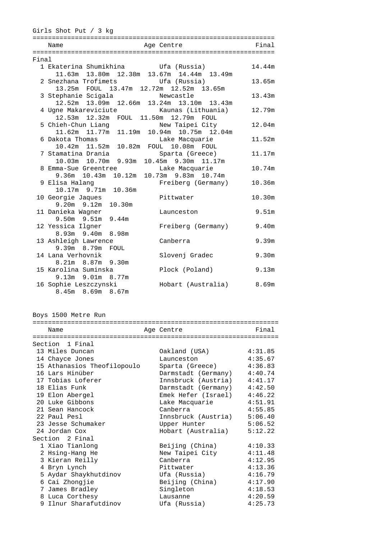| Final<br>Age Centre<br>Name<br>Final<br>1 Ekaterina Shumikhina (Russia)<br>14.44m<br>11.63m 13.80m 12.38m 13.67m 14.44m 13.49m<br>2 Snezhana Trofimets<br>Ufa (Russia)<br>13.65m<br>13.25m FOUL 13.47m 12.72m 12.52m 13.65m |  |
|-----------------------------------------------------------------------------------------------------------------------------------------------------------------------------------------------------------------------------|--|
|                                                                                                                                                                                                                             |  |
|                                                                                                                                                                                                                             |  |
|                                                                                                                                                                                                                             |  |
|                                                                                                                                                                                                                             |  |
|                                                                                                                                                                                                                             |  |
|                                                                                                                                                                                                                             |  |
|                                                                                                                                                                                                                             |  |
| 3 Stephanie Scigala<br>13.43m<br>Newcastle                                                                                                                                                                                  |  |
| 12.52m 13.09m 12.66m 13.24m 13.10m 13.43m                                                                                                                                                                                   |  |
| 4 Ugne Makareviciute<br>Kaunas (Lithuania)<br>12.79m                                                                                                                                                                        |  |
| 12.53m  12.32m  FOUL  11.50m  12.79m<br>FOUL                                                                                                                                                                                |  |
| 5 Chieh-Chun Liang<br>New Taipei City<br>12.04m                                                                                                                                                                             |  |
| 11.62m 11.77m 11.19m 10.94m 10.75m 12.04m                                                                                                                                                                                   |  |
| 6 Dakota Thomas<br>Lake Macquarie<br>11.52m                                                                                                                                                                                 |  |
| 10.82m FOUL 10.08m<br>10.42m  11.52m<br>FOUL                                                                                                                                                                                |  |
| 7 Stamatina Drania<br>Sparta (Greece)<br>11.17m                                                                                                                                                                             |  |
| 9.93m<br>10.45m 9.30m 11.17m<br>10.03m  10.70m                                                                                                                                                                              |  |
| 10.74m<br>8 Emma-Sue Greentree<br>Lake Macquarie                                                                                                                                                                            |  |
| 10.12m<br>$9.36m$ 10.43m<br>10.73m 9.83m 10.74m                                                                                                                                                                             |  |
| 9 Elisa Halanq<br>Freiberg (Germany)<br>10.36m                                                                                                                                                                              |  |
| 10.17m 9.71m 10.36m                                                                                                                                                                                                         |  |
| 10.30m<br>10 Georgie Jaques<br>Pittwater                                                                                                                                                                                    |  |
| 10.30m<br>$9.20m$ $9.12m$                                                                                                                                                                                                   |  |
| 11 Danieka Wagner<br>9.51 <sub>m</sub><br>Launceston                                                                                                                                                                        |  |
| $9.50m$ $9.51m$<br>9.44m                                                                                                                                                                                                    |  |
| 9.40m<br>12 Yessica Ilgner<br>Freiberg (Germany)                                                                                                                                                                            |  |
| 8.98m<br>$8.93m$ $9.40m$                                                                                                                                                                                                    |  |
| 13 Ashleigh Lawrence<br>Canberra<br>9.39m                                                                                                                                                                                   |  |
| $9.39m$ 8.79m<br>FOUL                                                                                                                                                                                                       |  |
| 9.30m<br>14 Lana Verhovnik<br>Slovenj Gradec                                                                                                                                                                                |  |
| 8.21m 8.87m 9.30m<br>15 Karolina Suminska<br>9.13m                                                                                                                                                                          |  |
| Plock (Poland)<br>9.13m 9.01m 8.77m                                                                                                                                                                                         |  |
| Hobart (Australia)<br>8.69m                                                                                                                                                                                                 |  |
| 16 Sophie Leszczynski<br>$8.45m$ $8.69m$ $8.67m$                                                                                                                                                                            |  |

Boys 1500 Metre Run

| Name                        | Age Centre                  | Final   |
|-----------------------------|-----------------------------|---------|
|                             |                             |         |
| Section 1 Final             |                             |         |
| 13 Miles Duncan             | Oakland (USA)               | 4:31.85 |
| 14 Chayce Jones             | Launceston                  | 4:35.67 |
| 15 Athanasios Theofilopoulo | Sparta (Greece)             | 4:36.83 |
| 16 Lars Hinüber             | Darmstadt (Germany) 4:40.74 |         |
| 17 Tobias Loferer           | Innsbruck (Austria)         | 4:41.17 |
| 18 Elias Funk               | Darmstadt (Germany)         | 4:42.50 |
| 19 Elon Abergel             | Emek Hefer (Israel)         | 4:46.22 |
| 20 Luke Gibbons             | Lake Macquarie              | 4:51.91 |
| 21 Sean Hancock             | Canberra                    | 4:55.85 |
| 22 Paul Pesl                | Innsbruck (Austria)         | 5:06.40 |
| 23 Jesse Schumaker          | Upper Hunter                | 5:06.52 |
| 24 Jordan Cox               | Hobart (Australia)          | 5:12.22 |
| Section 2 Final             |                             |         |
| 1 Xiao Tianlong             | Beijing (China)             | 4:10.33 |
| 2 Hsing-Hang He             | New Taipei City             | 4:11.48 |
| 3 Kieran Reilly             | Canberra                    | 4:12.95 |
| 4 Bryn Lynch                | Pittwater                   | 4:13.36 |
| 5 Aydar Shaykhutdinov       | Ufa (Russia)                | 4:16.79 |
| 6 Cai Zhongjie              | Beijing (China)             | 4:17.90 |
| 7 James Bradley             | Singleton                   | 4:18.53 |
| 8 Luca Corthesy             | Lausanne                    | 4:20.59 |
| 9 Ilnur Sharafutdinov       | Ufa (Russia)                | 4:25.73 |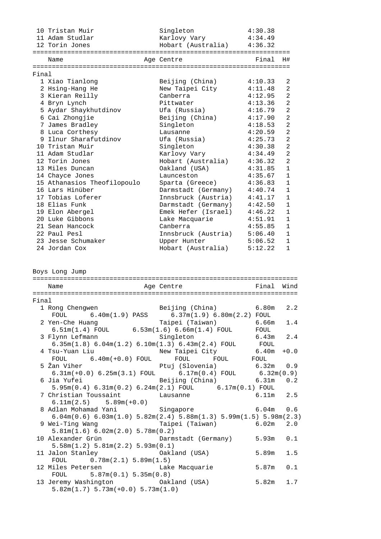|       | 10 Tristan Muir                                                                                                                                    | Singleton                 | 4:30.38   |                |
|-------|----------------------------------------------------------------------------------------------------------------------------------------------------|---------------------------|-----------|----------------|
|       | 11 Adam Studlar                                                                                                                                    | Karlovy Vary              | 4:34.49   |                |
|       | 12 Torin Jones                                                                                                                                     | Hobart (Australia)        | 4:36.32   |                |
|       |                                                                                                                                                    |                           |           |                |
|       | Name                                                                                                                                               | Age Centre                | Final     | H#             |
|       |                                                                                                                                                    |                           |           |                |
| Final |                                                                                                                                                    |                           |           |                |
|       | 1 Xiao Tianlong                                                                                                                                    | Beijing (China)           | 4:10.33   | 2              |
|       | 2 Hsing-Hang He                                                                                                                                    | New Taipei City           | 4:11.48   | $\overline{2}$ |
|       | 3 Kieran Reilly                                                                                                                                    | Canberra                  | 4:12.95   | $\overline{2}$ |
|       | 4 Bryn Lynch                                                                                                                                       | Pittwater                 | 4:13.36   | $\overline{a}$ |
|       | 5 Aydar Shaykhutdinov                                                                                                                              | Ufa (Russia)              | 4:16.79   | $\overline{a}$ |
|       |                                                                                                                                                    |                           |           |                |
|       | 6 Cai Zhongjie                                                                                                                                     | Beijing (China)           | 4:17.90   | $\overline{a}$ |
|       | 7 James Bradley                                                                                                                                    | Singleton                 | 4:18.53   | $\overline{2}$ |
|       | 8 Luca Corthesy                                                                                                                                    | Lausanne                  | 4:20.59   | $\overline{2}$ |
|       | 9 Ilnur Sharafutdinov                                                                                                                              | Ufa (Russia)              | 4:25.73   | $\overline{2}$ |
|       | 10 Tristan Muir                                                                                                                                    | Singleton                 | 4:30.38   | $\overline{2}$ |
|       | 11 Adam Studlar                                                                                                                                    | Karlovy Vary              | 4:34.49   | $\overline{2}$ |
|       | 12 Torin Jones                                                                                                                                     | Hobart (Australia)        | 4:36.32   | $\overline{2}$ |
|       | 13 Miles Duncan                                                                                                                                    | Oakland (USA)             | 4:31.85   | $\mathbf{1}$   |
|       | 14 Chayce Jones                                                                                                                                    | Launceston                | 4:35.67   | $\mathbf{1}$   |
|       | 15 Athanasios Theofilopoulo                                                                                                                        | Sparta (Greece)           | 4:36.83   | $\mathbf{1}$   |
|       | 16 Lars Hinüber                                                                                                                                    |                           |           | $\mathbf{1}$   |
|       |                                                                                                                                                    | Darmstadt (Germany)       | 4:40.74   | $\mathbf{1}$   |
|       | 17 Tobias Loferer                                                                                                                                  | Innsbruck (Austria)       | 4:41.17   |                |
|       | 18 Elias Funk                                                                                                                                      | Darmstadt (Germany)       | 4:42.50   | $\mathbf{1}$   |
|       | 19 Elon Abergel                                                                                                                                    | Emek Hefer (Israel)       | 4:46.22   | $\mathbf{1}$   |
|       | 20 Luke Gibbons                                                                                                                                    | Lake Macquarie            | 4:51.91   | $\mathbf{1}$   |
|       | 21 Sean Hancock                                                                                                                                    | Canberra                  | 4:55.85   | $\mathbf{1}$   |
|       | 22 Paul Pesl                                                                                                                                       | Innsbruck (Austria)       | 5:06.40   | 1              |
|       | 23 Jesse Schumaker                                                                                                                                 | Upper Hunter              | 5:06.52   | $\mathbf{1}$   |
|       | 24 Jordan Cox                                                                                                                                      | Hobart (Australia)        | 5:12.22   | $\mathbf{1}$   |
|       | Boys Long Jump                                                                                                                                     |                           |           |                |
|       | Name                                                                                                                                               | Age Centre                | Final     | Wind           |
|       |                                                                                                                                                    |                           |           |                |
| Final |                                                                                                                                                    |                           |           |                |
|       | 1 Rong Chengwen                                                                                                                                    | Beijing (China)           | 6.80m     | 2.2            |
|       | $FOUL$ 6.40m(1.9) PASS 6.37m(1.9) 6.80m(2.2) $FOUL$                                                                                                |                           |           |                |
|       | 2 Yen-Che Huang                                                                                                                                    | Taipei (Taiwan)           | 6.66m     | 1.4            |
|       | 6.51m(1.4) FOUL $6.53m(1.6) 6.66m(1.4)$ FOUL FOUL                                                                                                  |                           |           |                |
|       |                                                                                                                                                    |                           |           |                |
|       | 3 Flynn Lefmann                                                                                                                                    | Singleton                 | 6.43m     | 2.4            |
|       | $6.35m(1.8) 6.04m(1.2) 6.10m(1.3) 6.43m(2.4) F0UL F0UL$                                                                                            |                           |           |                |
|       | 4 Tsu-Yuan Liu                                                                                                                                     | New Taipei City           | 6.40m     | $+0.0$         |
|       | $6.40m(+0.0)$ FOUL<br>FOUL                                                                                                                         | FOUL                      | FOUL FOUL |                |
|       | 5 Žan Viher<br>(an Viher Ptuj (Slovenia) 6.32m 0.9<br>6.31m(+0.0) 6.25m(3.1) FOUL 6.17m(0.4) FOUL 6.32m(0.9)<br>ia Yufei Beijing (China) 6.31m 0.2 |                           |           |                |
|       |                                                                                                                                                    |                           |           |                |
|       | 6 Jia Yufei                                                                                                                                        |                           |           |                |
|       | 5.95m(0.4) 6.31m(0.2) 6.24m(2.1) FOUL 6.17m(0.1) FOUL                                                                                              |                           |           |                |
|       | 7 Christian Toussaint                                                                                                                              | Lausanne                  | 6.11m     | 2.5            |
|       | $6.11m(2.5)$ $5.89m(+0.0)$                                                                                                                         |                           |           |                |
|       | 8 Adlan Mohamad Yani                                                                                                                               | Singapore                 | 6.04m     | 0.6            |
|       |                                                                                                                                                    |                           |           |                |
|       | $6.04m(0.6) 6.03m(1.0) 5.82m(2.4) 5.88m(1.3) 5.99m(1.5) 5.98m(2.3)$                                                                                |                           |           |                |
|       | 9 Wei-Ting Wang                                                                                                                                    | Taipei (Taiwan) 6.02m     |           | 2.0            |
|       | 5.81m(1.6) 6.02m(2.0) 5.78m(0.2)                                                                                                                   |                           |           |                |
|       | 10 Alexander Grün                                                                                                                                  | Darmstadt (Germany) 5.93m |           | 0.1            |
|       | 5.58m(1.2) 5.81m(2.2) 5.93m(0.1)                                                                                                                   |                           |           |                |
|       | 11 Jalon Stanley                                                                                                                                   | Oakland (USA)             | 5.89m     | 1.5            |
|       | 0.78m(2.1) 5.89m(1.5)<br>FOUL                                                                                                                      |                           |           |                |
|       | 12 Miles Petersen                                                                                                                                  | Lake Macquarie            | 5.87m     | 0.1            |
|       | FOUL $5.87m(0.1) 5.35m(0.8)$                                                                                                                       |                           |           |                |
|       |                                                                                                                                                    |                           |           |                |

 13 Jeremy Washington Oakland (USA) 5.82m 1.7 5.82m(1.7) 5.73m(+0.0) 5.73m(1.0)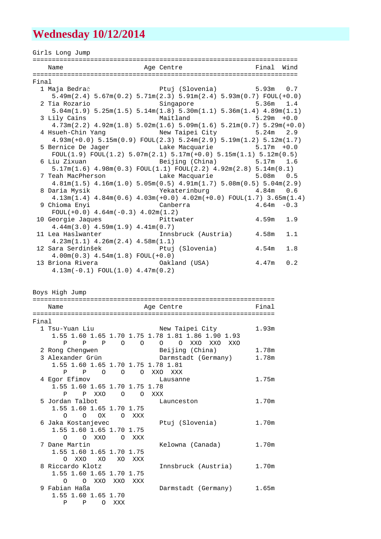## **Wednesday 10/12/2014**

Girls Long Jump ===================================================================== Age Centre **Final** Wind ===================================================================== Final 1 Maja Bedrač Ptuj (Slovenia) 5.93m 0.7 5.49m(2.4) 5.67m(0.2) 5.71m(2.3) 5.91m(2.4) 5.93m(0.7) FOUL(+0.0) 2 Tia Rozario Singapore 5.36m 1.4 5.04m(1.9) 5.25m(1.5) 5.14m(1.8) 5.30m(1.1) 5.36m(1.4) 4.89m(1.1) 3 Lily Cains Maitland 5.29m +0.0 4.73m(2.2) 4.92m(1.8) 5.02m(1.6) 5.09m(1.6) 5.21m(0.7) 5.29m(+0.0) 4 Hsueh-Chin Yang New Taipei City 5.24m 2.9 4.93m(+0.0) 5.15m(0.9) FOUL(2.3) 5.24m(2.9) 5.19m(1.2) 5.12m(1.7) 5 Bernice De Jager Lake Macquarie 5.17m +0.0  $F\text{OUL}(1.9)$   $F\text{OUL}(1.2)$   $5.07m(2.1)$   $5.17m(+0.0)$   $5.15m(1.1)$   $5.12m(0.5)$  6 Liu Zixuan Beijing (China) 5.17m 1.6 5.17m(1.6) 4.98m(0.3) FOUL(1.1) FOUL(2.2) 4.92m(2.8) 5.14m(0.1) 7 Teah MacPherson Lake Macquarie 5.08m 0.5 4.81m(1.5) 4.16m(1.0) 5.05m(0.5) 4.91m(1.7) 5.08m(0.5) 5.04m(2.9) 8 Daria Mysik Yekaterinburg 4.84m 0.6 4.13m(1.4) 4.84m(0.6) 4.03m(+0.0) 4.02m(+0.0) FOUL(1.7) 3.65m(1.4) 9 Chioma Enyi Canberra 4.64m -0.3  $FOUL(+0.0)$  4.64m( $-0.3)$  4.02m(1.2) 10 Georgie Jaques **Pittwater** 4.59m 1.9 4.44m(3.0) 4.59m(1.9) 4.41m(0.7) 11 Lea Haslwanter Innsbruck (Austria) 4.58m 1.1 4.23m(1.1) 4.26m(2.4) 4.58m(1.1) 12 Sara Serdinšek Ptuj (Slovenia) 4.54m 1.8 4.00m(0.3) 4.54m(1.8) FOUL(+0.0) 13 Briona Rivera Oakland (USA) 4.47m 0.2 4.13m(-0.1) FOUL(1.0) 4.47m(0.2)

Boys High Jump

|       | Name                               |        | Age Centre                                        | Final             |
|-------|------------------------------------|--------|---------------------------------------------------|-------------------|
|       |                                    |        |                                                   |                   |
| Final |                                    |        |                                                   |                   |
|       | 1 Tsu-Yuan Liu                     |        | New Taipei City                                   | 1.93 <sub>m</sub> |
|       |                                    |        | 1.55 1.60 1.65 1.70 1.75 1.78 1.81 1.86 1.90 1.93 |                   |
|       |                                    |        | P P P O O O O XXO XXO XXO                         |                   |
|       |                                    |        | 2 Rong Chengwen Beijing (China)                   | 1.78m             |
|       |                                    |        | 3 Alexander Grün Marmstadt (Germany)              | 1.78m             |
|       | 1.55 1.60 1.65 1.70 1.75 1.78 1.81 |        |                                                   |                   |
|       | P P O O O XXO XXX                  |        |                                                   |                   |
|       | 4 Egor Efimov                      |        | Lausanne                                          | 1.75m             |
|       | 1.55 1.60 1.65 1.70 1.75 1.78      |        |                                                   |                   |
|       | P XXO O O XXX<br>P                 |        |                                                   |                   |
|       | 5 Jordan Talbot                    |        | Launceston                                        | 1.70m             |
|       | 1.55 1.60 1.65 1.70 1.75           |        |                                                   |                   |
|       | O OX OXXX                          |        |                                                   |                   |
|       | 6 Jaka Kostanjevec                 |        | Ptuj (Slovenia)                                   | 1.70m             |
|       | 1.55 1.60 1.65 1.70 1.75           |        |                                                   |                   |
|       | O XXO O XXX<br>∩                   |        |                                                   |                   |
|       | 7 Dane Martin                      |        | Kelowna (Canada)                                  | 1.70m             |
|       | 1.55 1.60 1.65 1.70 1.75           |        |                                                   |                   |
|       | O XXO XO                           | XO XXX |                                                   |                   |
|       | 8 Riccardo Klotz                   |        | Innsbruck (Austria)                               | 1.70m             |
|       | 1.55 1.60 1.65 1.70 1.75           |        |                                                   |                   |
|       | O OXXOXXOXXX                       |        |                                                   |                   |
|       | 9 Fabian Haßa                      |        | Darmstadt (Germany) 1.65m                         |                   |
|       | 1.55 1.60 1.65 1.70                |        |                                                   |                   |
|       | P<br>P OXXX                        |        |                                                   |                   |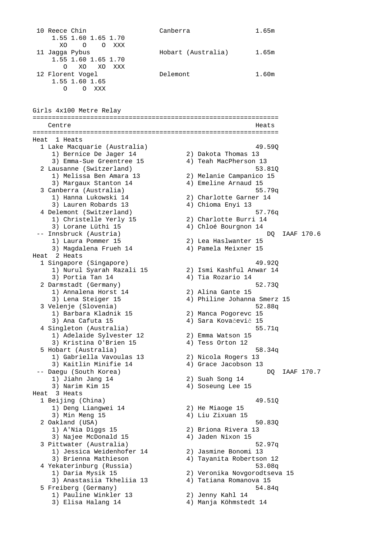10 Reece Chin Canberra 1.65m 1.55 1.60 1.65 1.70 XO O O XXX<br>11 Jaqqa Pybus Hobart (Australia) 1.65m 1.55 1.60 1.65 1.70 O XO XO XXX Delemont 1.60m 12 Florent Vogel<br>1.55 1.60 1.65 O O XXX Girls 4x100 Metre Relay ================================================================ Centre ================================================================ Heat 1 Heats 1 Lake Macquarie (Australia) 49.59Q 1) Bernice De Jager 14 2) Dakota Thomas 13 3) Emma-Sue Greentree 15 4) Teah MacPherson 13 2 Lausanne (Switzerland) 53.81Q 1) Melissa Ben Amara 13 2) Melanie Campanico 15 3) Margaux Stanton 14 4) Emeline Arnaud 15 3 Canberra (Australia) 55.79q 1) Hanna Lukowski 14 2) Charlotte Garner 14 3) Lauren Robards 13 4) Chioma Enyi 13 4 Delemont (Switzerland) 57.76q 1) Christelle Yerly 15 2) Charlotte Burri 14 3) Lorane Lüthi 15 4) Chloé Bourgnon 14 -- Innsbruck (Austria) DQ IAAF 170.6 1) Laura Pommer 15 2) Lea Haslwanter 15 3) Magdalena Frueh 14 4) Pamela Meixner 15 Heat 2 Heats 1 Singapore (Singapore) 49.92Q 1) Nurul Syarah Razali 15 2) Ismi Kashful Anwar 14 3) Portia Tan 14  $(4)$  Tia Rozario 14 2 Darmstadt (Germany) 52.73Q 1) Annalena Horst 14 2) Alina Gante 15 Darmstadt (Germany)<br>
1) Annalena Horst 14 (2) Alina Gante 15<br>
3) Lena Steiger 15 (4) Philine Johanna Smerz 15 3 Velenje (Slovenia) 52.88q 1) Barbara Kladnik 15 2) Manca Pogorevc 15 3) Ana Cafuta 15 4) Sara Kovačevič 15 4 Singleton (Australia) 55.71q 1) Adelaide Sylvester 12 2) Emma Watson 15 3) Kristina O'Brien 15 (4) Tess Orton 12 5 Hobart (Australia) 58.34q 1) Gabriella Vavoulas 13 2) Nicola Rogers 13 3) Kaitlin Minifie 14 4) Grace Jacobson 13 -- Daegu (South Korea) DQ IAAF 170.7 -- Daegu (South Korea)<br>1) Jiahn Jang 14 3) Narim Kim 15 4) Soseung Lee 15 Heat 3 Heats 1 Beijing (China) 49.51Q 1) Deng Liangwei 14<br>3) Min Meng 15 2) He Miaoge 15<br>4) Liu Zixuan 15 2 Oakland (USA) 50.83Q 1) A'Nia Diggs 15 2) Briona Rivera 13 3) Najee McDonald 15 4) Jaden Nixon 15 3 Pittwater (Australia) 52.97q 1) Jessica Weidenhofer 14 2) Jasmine Bonomi 13 3) Brienna Mathieson 4) Tayanita Robertson 12 4 Yekaterinburg (Russia) 53.08q 1) Daria Mysik 15 2) Veronika Novgorodtseva 15 3) Anastasiia Tkheliia 13 4) Tatiana Romanova 15 5 Freiberg (Germany) 54.84q 1) Pauline Winkler 13 2) Jenny Kahl 14 3) Elisa Halang 14 4) Manja Köhmstedt 14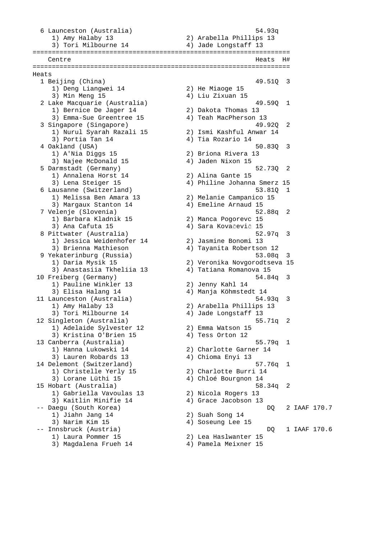6 Launceston (Australia) 54.93q 1) Amy Halaby 13 2) Arabella Phillips 13 3) Tori Milbourne 14 4) Jade Longstaff 13 =================================================================== Centre Heats H# =================================================================== Heats 1 Beijing (China) 49.510 49.510 49.510 49.510 49.510 49.510 49.510 49.510 1 1) Deng Liangwei 14 2) He Miaoge 15<br>3) Min Meng 15 39 4) Liu Zixuan 15 3) Min Meng 15 4) Liu Zixuan 15 2 Lake Macquarie (Australia) 49.59Q 1 1) Bernice De Jager 14 2) Dakota Thomas 13 3) Emma-Sue Greentree 15 4) Teah MacPherson 13 3 Singapore (Singapore) 49.92Q 2 1) Nurul Syarah Razali 15 2) Ismi Kashful Anwar 14 3) Portia Tan 14  $(4)$  Tia Rozario 14 4 Oakland (USA) 50.83Q 3 1) A'Nia Diggs 15 2) Briona Rivera 13 3) Najee McDonald 15 4) Jaden Nixon 15 5 Darmstadt (Germany) 52.73Q 2 1) Annalena Horst 14 2) Alina Gante 15 3) Lena Steiger 15 4) Philine Johanna Smerz 15 6 Lausanne (Switzerland) 53.81Q 1 1) Melissa Ben Amara 13 2) Melanie Campanico 15 3) Margaux Stanton 14 4) Emeline Arnaud 15 7 Velenje (Slovenia) 52.88q 2 1) Barbara Kladnik 15 2) Manca Pogorevc 15 3) Ana Cafuta 15 4) Sara Kovačevič 15 8 Pittwater (Australia) 52.97q 3 1) Jessica Weidenhofer 14 2) Jasmine Bonomi 13 3) Brienna Mathieson 4) Tayanita Robertson 12 9 Yekaterinburg (Russia) 53.08q 3 1) Daria Mysik 15 2) Veronika Novgorodtseva 15 3) Anastasiia Tkheliia 13 4) Tatiana Romanova 15 10 Freiberg (Germany) 54.84q 3 1) Pauline Winkler 13 2) Jenny Kahl 14 3) Elisa Halang 14 4) Manja Köhmstedt 14 3) Elisa Halang 14 (aunceston (Australia) 54.93q 3 1) Amy Halaby 13 2) Arabella Phillips 13 3) Tori Milbourne 14 4) Jade Longstaff 13 12 Singleton (Australia) 55.71q 2 1) Adelaide Sylvester 12 2) Emma Watson 15 3) Kristina O'Brien 15 (4) Tess Orton 12 13 Canberra (Australia) 55.79q 1 2) Charlotte Garner 14<br>
1) Hanna Lukowski 14 (2) Charlotte Garner 14<br>
3) Lauren Robards 13 (4) Chioma Enyi 13 3) Lauren Robards 13 4) Chioma Enyi 13 14 Delemont (Switzerland) 57.76q 1 1) Christelle Yerly 15 2) Charlotte Burri 14 3) Lorane Lüthi 15 4) Chloé Bourgnon 14 15 Hobart (Australia) 58.34q 2 1) Gabriella Vavoulas 13 2) Nicola Rogers 13 3) Kaitlin Minifie 14 4) Grace Jacobson 13 -- Daegu (South Korea) DQ 2 IAAF 170.7 1) Jiahn Jang 14 2) Suah Song 14 3) Narim Kim 15 4) Soseung Lee 15 -- Innsbruck (Austria) DQ 1 IAAF 170.6 1) Laura Pommer 15 2) Lea Haslwanter 15 3) Magdalena Frueh 14 4) Pamela Meixner 15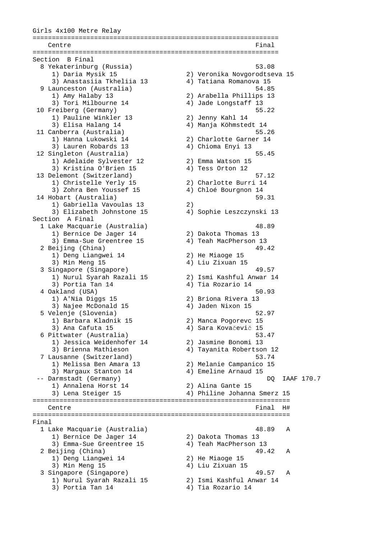Girls 4x100 Metre Relay ================================================================ Centre **Final** ================================================================ Section B Final 8 Yekaterinburg (Russia) 53.08 1) Daria Mysik 15 2) Veronika Novgorodtseva 15 3) Anastasiia Tkheliia 13 4) Tatiana Romanova 15 9 Launceston (Australia) 54.85 1) Amy Halaby 13 2) Arabella Phillips 13 3) Tori Milbourne 14 4) Jade Longstaff 13 10 Freiberg (Germany) 55.22 1) Pauline Winkler 13 2) Jenny Kahl 14 3) Elisa Halang 14 4) Manja Köhmstedt 14 11 Canberra (Australia) 55.26 1) Hanna Lukowski 14 2) Charlotte Garner 14 3) Lauren Robards 13 4) Chioma Enyi 13 12 Singleton (Australia) 55.45 1) Adelaide Sylvester 12 2) Emma Watson 15 3) Kristina O'Brien 15 (4) Tess Orton 12 13 Delemont (Switzerland) 57.12 1) Christelle Yerly 15 2) Charlotte Burri 14 3) Zohra Ben Youssef 15 4) Chloé Bourgnon 14 14 Hobart (Australia) 59.31 1) Gabriella Vavoulas 13 2) 3) Elizabeth Johnstone 15 4) Sophie Leszczynski 13 Section A Final 1 Lake Macquarie (Australia) 48.89 1) Bernice De Jager 14 2) Dakota Thomas 13 3) Emma-Sue Greentree 15 4) Teah MacPherson 13 2 Beijing (China) 49.42 1) Deng Liangwei 14 2) He Miaoge 15 3) Min Meng 15 4) Liu Zixuan 15 3 Singapore (Singapore) 49.57 1) Nurul Syarah Razali 15 2) Ismi Kashful Anwar 14 3) Portia Tan 14  $(4)$  Tia Rozario 14 4 Oakland (USA) 50.93<br>1) A'Nia Diggs 15 (2) Briona Rivera 13 1) A'Nia Diggs 15 2) Briona Rivera 13 3) Najee McDonald 15 4) Jaden Nixon 15 5 Velenje (Slovenia) 52.97 1) Barbara Kladnik 15 2) Manca Pogorevc 15 3) Ana Cafuta 15 4) Sara Kovačevič 15 6 Pittwater (Australia) 53.47 1) Jessica Weidenhofer 14 2) Jasmine Bonomi 13 3) Brienna Mathieson 4) Tayanita Robertson 12 7 Lausanne (Switzerland) 53.74 1) Melissa Ben Amara 13 2) Melanie Campanico 15 3) Margaux Stanton 14 4) Emeline Arnaud 15 -- Darmstadt (Germany) DQ IAAF 170.7 1) Annalena Horst 14 2) Alina Gante 15 3) Lena Steiger 15 4) Philine Johanna Smerz 15 =================================================================== Centre Final H# =================================================================== Final 1 Lake Macquarie (Australia) 48.89 A 1) Bernice De Jager 14 2) Dakota Thomas 13 3) Emma-Sue Greentree 15 4) Teah MacPherson 13 2 Beijing (China) 49.42 A 1) Deng Liangwei 14 3) Deng Liangwei 14 (2) He Miaoge 15<br>3) Min Meng 15 (4) Liu Zixuan 15 3 Singapore (Singapore) 49.57 A 1) Nurul Syarah Razali 15 2) Ismi Kashful Anwar 14 3) Portia Tan 14  $(4)$  Tia Rozario 14